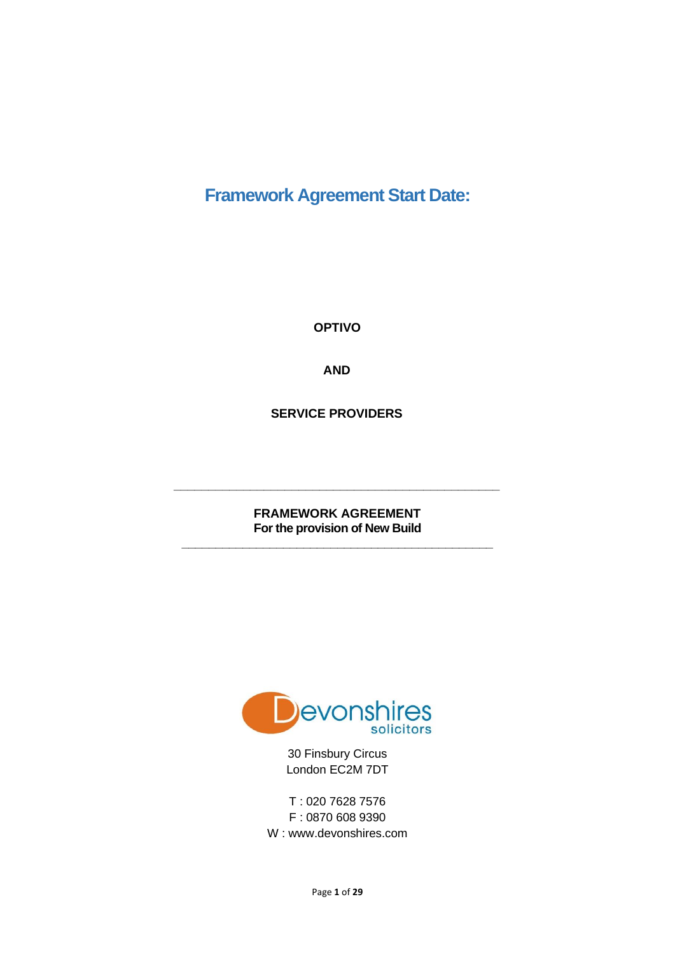**Framework Agreement Start Date:**

**OPTIVO** 

**AND**

**SERVICE PROVIDERS**

**FRAMEWORK AGREEMENT For the provision of New Build**

**\_\_\_\_\_\_\_\_\_\_\_\_\_\_\_\_\_\_\_\_\_\_\_\_\_\_\_\_\_\_\_\_\_\_\_\_\_\_\_\_\_\_\_\_\_\_**

**\_\_\_\_\_\_\_\_\_\_\_\_\_\_\_\_\_\_\_\_\_\_\_\_\_\_\_\_\_\_\_\_\_\_\_\_\_\_\_\_\_\_\_\_\_\_\_**



30 Finsbury Circus London EC2M 7DT

T : 020 7628 7576 F : 0870 608 9390 W : www.devonshires.com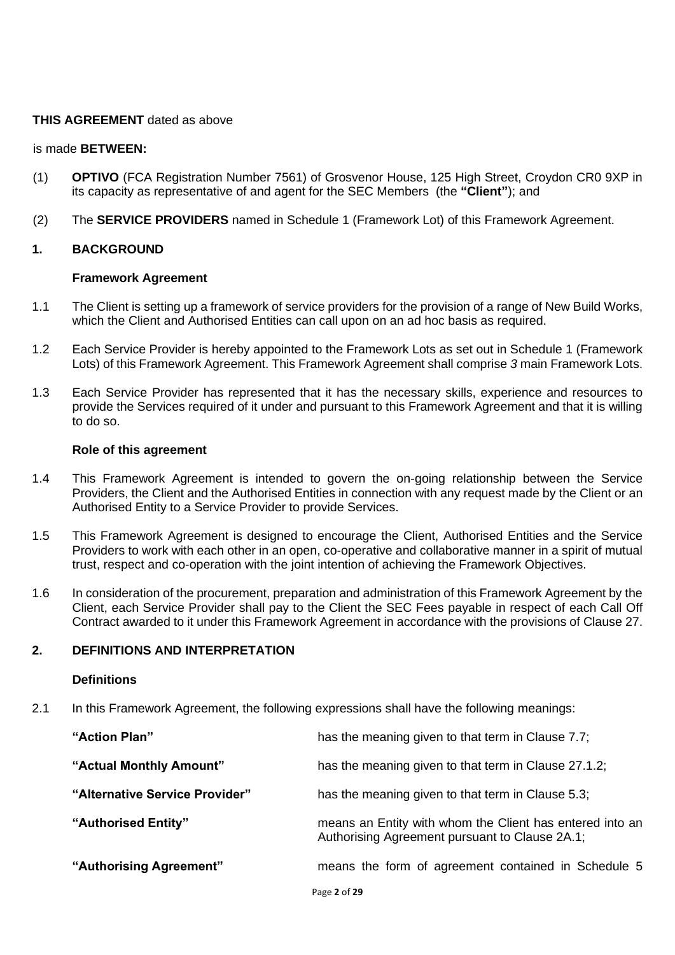## **THIS AGREEMENT** dated as above

#### is made **BETWEEN:**

- (1) **OPTIVO** (FCA Registration Number 7561) of Grosvenor House, 125 High Street, Croydon CR0 9XP in its capacity as representative of and agent for the SEC Members (the **"Client"**); and
- (2) The **SERVICE PROVIDERS** named in Schedule 1 (Framework Lot) of this Framework Agreement.

## **1. BACKGROUND**

### **Framework Agreement**

- 1.1 The Client is setting up a framework of service providers for the provision of a range of New Build Works, which the Client and Authorised Entities can call upon on an ad hoc basis as required.
- 1.2 Each Service Provider is hereby appointed to the Framework Lots as set out in Schedule 1 (Framework Lots) of this Framework Agreement. This Framework Agreement shall comprise *3* main Framework Lots.
- 1.3 Each Service Provider has represented that it has the necessary skills, experience and resources to provide the Services required of it under and pursuant to this Framework Agreement and that it is willing to do so.

#### **Role of this agreement**

- 1.4 This Framework Agreement is intended to govern the on-going relationship between the Service Providers, the Client and the Authorised Entities in connection with any request made by the Client or an Authorised Entity to a Service Provider to provide Services.
- 1.5 This Framework Agreement is designed to encourage the Client, Authorised Entities and the Service Providers to work with each other in an open, co-operative and collaborative manner in a spirit of mutual trust, respect and co-operation with the joint intention of achieving the Framework Objectives.
- 1.6 In consideration of the procurement, preparation and administration of this Framework Agreement by the Client, each Service Provider shall pay to the Client the SEC Fees payable in respect of each Call Off Contract awarded to it under this Framework Agreement in accordance with the provisions of Clause 27.

## **2. DEFINITIONS AND INTERPRETATION**

#### **Definitions**

2.1 In this Framework Agreement, the following expressions shall have the following meanings:

| "Action Plan"                  | has the meaning given to that term in Clause 7.7;                                                          |
|--------------------------------|------------------------------------------------------------------------------------------------------------|
| "Actual Monthly Amount"        | has the meaning given to that term in Clause 27.1.2;                                                       |
| "Alternative Service Provider" | has the meaning given to that term in Clause 5.3;                                                          |
| "Authorised Entity"            | means an Entity with whom the Client has entered into an<br>Authorising Agreement pursuant to Clause 2A.1; |
| "Authorising Agreement"        | means the form of agreement contained in Schedule 5                                                        |
|                                |                                                                                                            |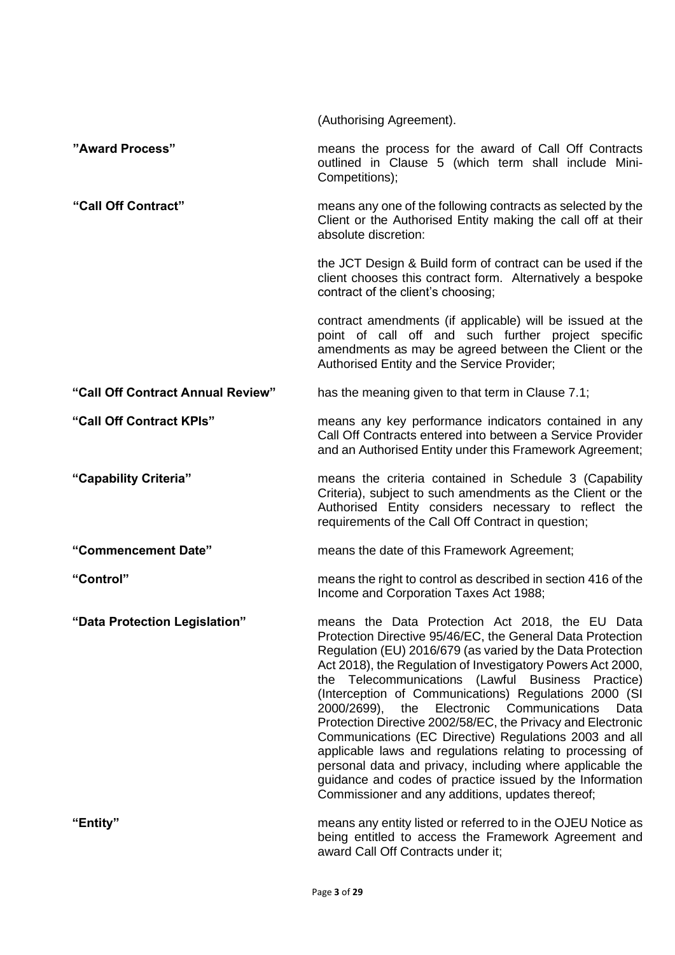|                                   | (Authorising Agreement).                                                                                                                                                                                                                                                                                                                                                                                                                                                                                                                                                                                                                                                                                                                                                                     |
|-----------------------------------|----------------------------------------------------------------------------------------------------------------------------------------------------------------------------------------------------------------------------------------------------------------------------------------------------------------------------------------------------------------------------------------------------------------------------------------------------------------------------------------------------------------------------------------------------------------------------------------------------------------------------------------------------------------------------------------------------------------------------------------------------------------------------------------------|
| "Award Process"                   | means the process for the award of Call Off Contracts<br>outlined in Clause 5 (which term shall include Mini-<br>Competitions);                                                                                                                                                                                                                                                                                                                                                                                                                                                                                                                                                                                                                                                              |
| "Call Off Contract"               | means any one of the following contracts as selected by the<br>Client or the Authorised Entity making the call off at their<br>absolute discretion:                                                                                                                                                                                                                                                                                                                                                                                                                                                                                                                                                                                                                                          |
|                                   | the JCT Design & Build form of contract can be used if the<br>client chooses this contract form. Alternatively a bespoke<br>contract of the client's choosing;                                                                                                                                                                                                                                                                                                                                                                                                                                                                                                                                                                                                                               |
|                                   | contract amendments (if applicable) will be issued at the<br>point of call off and such further project specific<br>amendments as may be agreed between the Client or the<br>Authorised Entity and the Service Provider;                                                                                                                                                                                                                                                                                                                                                                                                                                                                                                                                                                     |
| "Call Off Contract Annual Review" | has the meaning given to that term in Clause 7.1;                                                                                                                                                                                                                                                                                                                                                                                                                                                                                                                                                                                                                                                                                                                                            |
| "Call Off Contract KPIs"          | means any key performance indicators contained in any<br>Call Off Contracts entered into between a Service Provider<br>and an Authorised Entity under this Framework Agreement;                                                                                                                                                                                                                                                                                                                                                                                                                                                                                                                                                                                                              |
| "Capability Criteria"             | means the criteria contained in Schedule 3 (Capability<br>Criteria), subject to such amendments as the Client or the<br>Authorised Entity considers necessary to reflect the<br>requirements of the Call Off Contract in question;                                                                                                                                                                                                                                                                                                                                                                                                                                                                                                                                                           |
| "Commencement Date"               | means the date of this Framework Agreement;                                                                                                                                                                                                                                                                                                                                                                                                                                                                                                                                                                                                                                                                                                                                                  |
| "Control"                         | means the right to control as described in section 416 of the<br>Income and Corporation Taxes Act 1988;                                                                                                                                                                                                                                                                                                                                                                                                                                                                                                                                                                                                                                                                                      |
| "Data Protection Legislation"     | means the Data Protection Act 2018, the EU Data<br>Protection Directive 95/46/EC, the General Data Protection<br>Regulation (EU) 2016/679 (as varied by the Data Protection<br>Act 2018), the Regulation of Investigatory Powers Act 2000,<br>the Telecommunications (Lawful Business<br>Practice)<br>(Interception of Communications) Regulations 2000 (SI<br>Electronic<br>Communications<br>2000/2699),<br>the<br>Data<br>Protection Directive 2002/58/EC, the Privacy and Electronic<br>Communications (EC Directive) Regulations 2003 and all<br>applicable laws and regulations relating to processing of<br>personal data and privacy, including where applicable the<br>guidance and codes of practice issued by the Information<br>Commissioner and any additions, updates thereof; |
| "Entity"                          | means any entity listed or referred to in the OJEU Notice as<br>being entitled to access the Framework Agreement and<br>award Call Off Contracts under it;                                                                                                                                                                                                                                                                                                                                                                                                                                                                                                                                                                                                                                   |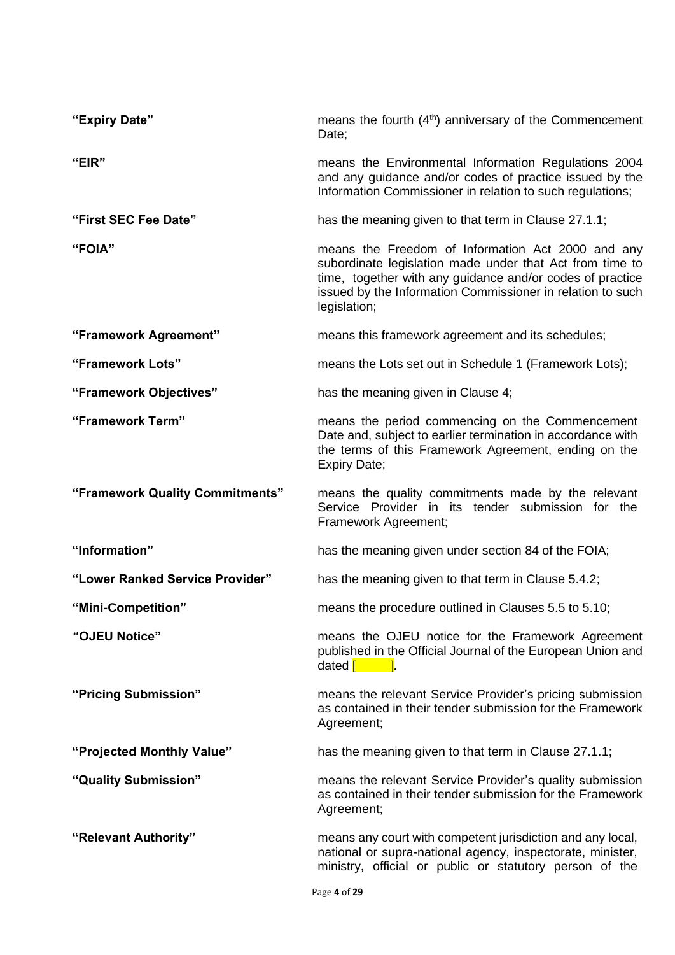| "Expiry Date"                   | means the fourth (4 <sup>th</sup> ) anniversary of the Commencement<br>Date;                                                                                                                                                                             |
|---------------------------------|----------------------------------------------------------------------------------------------------------------------------------------------------------------------------------------------------------------------------------------------------------|
| "EIR"                           | means the Environmental Information Regulations 2004<br>and any guidance and/or codes of practice issued by the<br>Information Commissioner in relation to such regulations;                                                                             |
| "First SEC Fee Date"            | has the meaning given to that term in Clause 27.1.1;                                                                                                                                                                                                     |
| "FOIA"                          | means the Freedom of Information Act 2000 and any<br>subordinate legislation made under that Act from time to<br>time, together with any guidance and/or codes of practice<br>issued by the Information Commissioner in relation to such<br>legislation; |
| "Framework Agreement"           | means this framework agreement and its schedules;                                                                                                                                                                                                        |
| "Framework Lots"                | means the Lots set out in Schedule 1 (Framework Lots);                                                                                                                                                                                                   |
| "Framework Objectives"          | has the meaning given in Clause 4;                                                                                                                                                                                                                       |
| "Framework Term"                | means the period commencing on the Commencement<br>Date and, subject to earlier termination in accordance with<br>the terms of this Framework Agreement, ending on the<br>Expiry Date;                                                                   |
| "Framework Quality Commitments" | means the quality commitments made by the relevant<br>Service Provider in its tender submission for the<br>Framework Agreement;                                                                                                                          |
| "Information"                   | has the meaning given under section 84 of the FOIA;                                                                                                                                                                                                      |
| "Lower Ranked Service Provider" | has the meaning given to that term in Clause 5.4.2;                                                                                                                                                                                                      |
| "Mini-Competition"              | means the procedure outlined in Clauses 5.5 to 5.10;                                                                                                                                                                                                     |
| "OJEU Notice"                   | means the OJEU notice for the Framework Agreement<br>published in the Official Journal of the European Union and<br>dated $\begin{bmatrix} 1 & 1 \\ 1 & 1 \end{bmatrix}$ .                                                                               |
| "Pricing Submission"            | means the relevant Service Provider's pricing submission<br>as contained in their tender submission for the Framework<br>Agreement;                                                                                                                      |
| "Projected Monthly Value"       | has the meaning given to that term in Clause 27.1.1;                                                                                                                                                                                                     |
| "Quality Submission"            | means the relevant Service Provider's quality submission<br>as contained in their tender submission for the Framework<br>Agreement;                                                                                                                      |
| "Relevant Authority"            | means any court with competent jurisdiction and any local,<br>national or supra-national agency, inspectorate, minister,<br>ministry, official or public or statutory person of the                                                                      |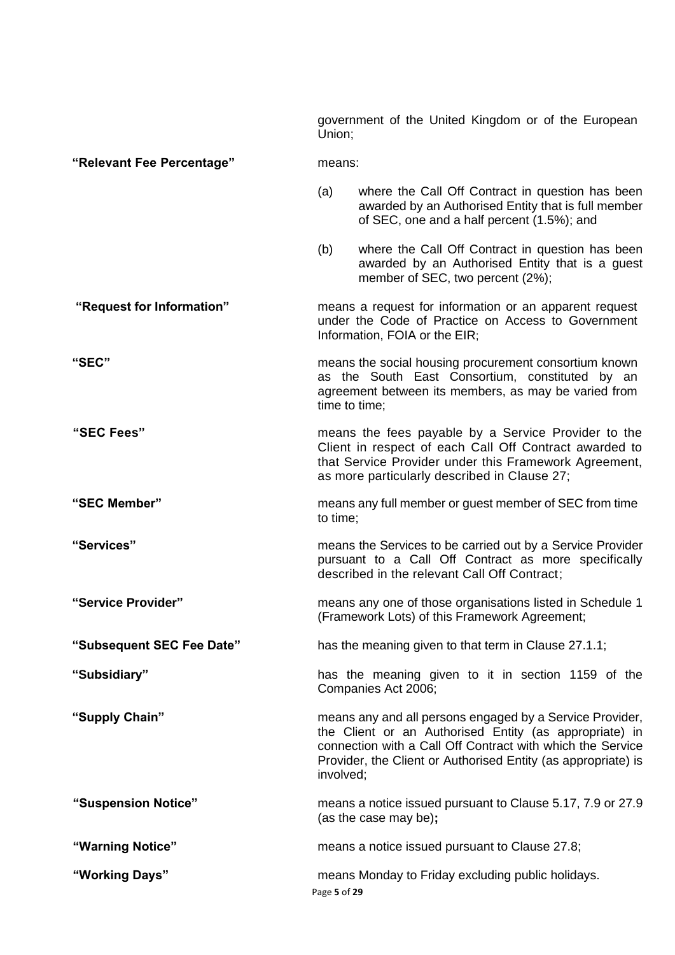government of the United Kingdom or of the European Union;

#### **"Relevant Fee Percentage"** means:

- (a) where the Call Off Contract in question has been awarded by an Authorised Entity that is full member of SEC, one and a half percent (1.5%); and
- (b) where the Call Off Contract in question has been awarded by an Authorised Entity that is a guest member of SEC, two percent (2%);
- **"Request for Information"** means a request for information or an apparent request under the Code of Practice on Access to Government Information, FOIA or the EIR;
- **"SEC"** means the social housing procurement consortium known as the South East Consortium, constituted by an agreement between its members, as may be varied from time to time;
- **"SEC Fees"** means the fees payable by a Service Provider to the Client in respect of each Call Off Contract awarded to that Service Provider under this Framework Agreement, as more particularly described in Clause 27;
- **"SEC Member"** means any full member or guest member of SEC from time to time;
- **"Services"** means the Services to be carried out by a Service Provider pursuant to a Call Off Contract as more specifically described in the relevant Call Off Contract;
- **"Service Provider"** means any one of those organisations listed in Schedule 1 (Framework Lots) of this Framework Agreement;
- **"Subsequent SEC Fee Date"** has the meaning given to that term in Clause 27.1.1;
- **"Subsidiary"** has the meaning given to it in section 1159 of the Companies Act 2006;
- **"Supply Chain"** means any and all persons engaged by a Service Provider, the Client or an Authorised Entity (as appropriate) in connection with a Call Off Contract with which the Service Provider, the Client or Authorised Entity (as appropriate) is involved;
- **"Suspension Notice"** means a notice issued pursuant to Clause 5.17, 7.9 or 27.9 (as the case may be)**;**
- **"Warning Notice"** means a notice issued pursuant to Clause 27.8;
- **"Working Days"** means Monday to Friday excluding public holidays.
	- Page **5** of **29**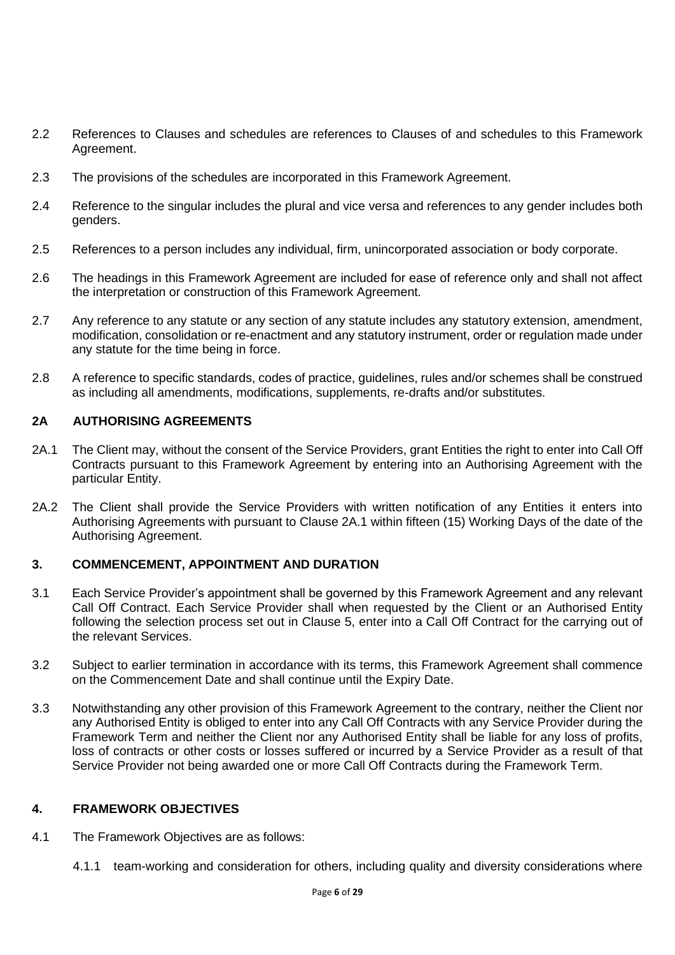- 2.2 References to Clauses and schedules are references to Clauses of and schedules to this Framework Agreement.
- 2.3 The provisions of the schedules are incorporated in this Framework Agreement.
- 2.4 Reference to the singular includes the plural and vice versa and references to any gender includes both genders.
- 2.5 References to a person includes any individual, firm, unincorporated association or body corporate.
- 2.6 The headings in this Framework Agreement are included for ease of reference only and shall not affect the interpretation or construction of this Framework Agreement.
- 2.7 Any reference to any statute or any section of any statute includes any statutory extension, amendment, modification, consolidation or re-enactment and any statutory instrument, order or regulation made under any statute for the time being in force.
- 2.8 A reference to specific standards, codes of practice, guidelines, rules and/or schemes shall be construed as including all amendments, modifications, supplements, re-drafts and/or substitutes.

# **2A AUTHORISING AGREEMENTS**

- 2A.1 The Client may, without the consent of the Service Providers, grant Entities the right to enter into Call Off Contracts pursuant to this Framework Agreement by entering into an Authorising Agreement with the particular Entity.
- 2A.2 The Client shall provide the Service Providers with written notification of any Entities it enters into Authorising Agreements with pursuant to Clause 2A.1 within fifteen (15) Working Days of the date of the Authorising Agreement.

## **3. COMMENCEMENT, APPOINTMENT AND DURATION**

- 3.1 Each Service Provider's appointment shall be governed by this Framework Agreement and any relevant Call Off Contract. Each Service Provider shall when requested by the Client or an Authorised Entity following the selection process set out in Clause 5, enter into a Call Off Contract for the carrying out of the relevant Services.
- 3.2 Subject to earlier termination in accordance with its terms, this Framework Agreement shall commence on the Commencement Date and shall continue until the Expiry Date.
- 3.3 Notwithstanding any other provision of this Framework Agreement to the contrary, neither the Client nor any Authorised Entity is obliged to enter into any Call Off Contracts with any Service Provider during the Framework Term and neither the Client nor any Authorised Entity shall be liable for any loss of profits, loss of contracts or other costs or losses suffered or incurred by a Service Provider as a result of that Service Provider not being awarded one or more Call Off Contracts during the Framework Term.

## **4. FRAMEWORK OBJECTIVES**

- 4.1 The Framework Objectives are as follows:
	- 4.1.1 team-working and consideration for others, including quality and diversity considerations where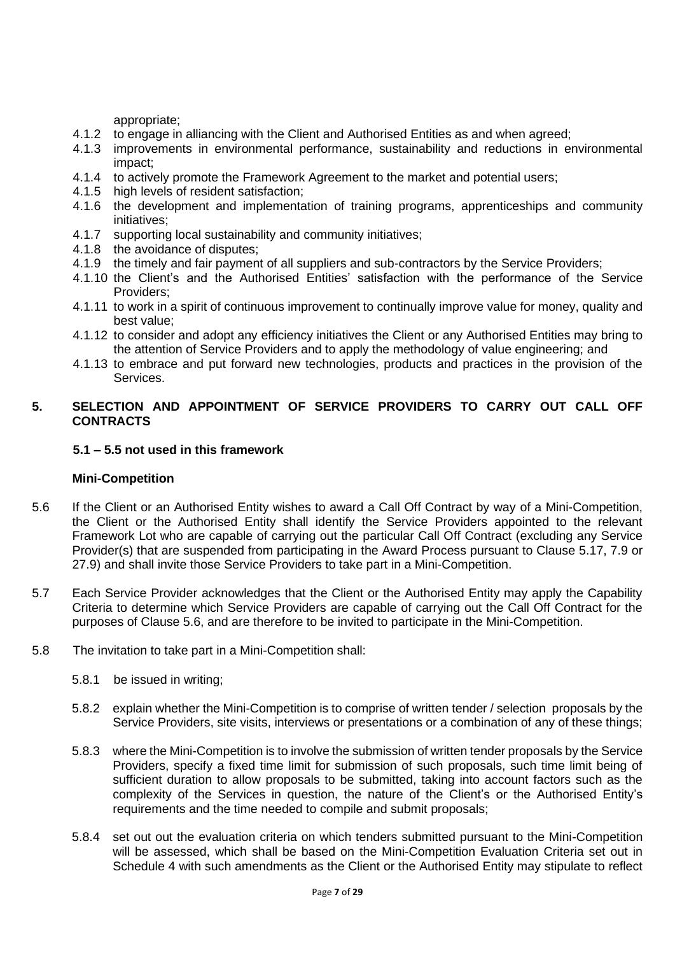appropriate;

- 4.1.2 to engage in alliancing with the Client and Authorised Entities as and when agreed;
- 4.1.3 improvements in environmental performance, sustainability and reductions in environmental impact;
- 4.1.4 to actively promote the Framework Agreement to the market and potential users;
- 4.1.5 high levels of resident satisfaction;
- 4.1.6 the development and implementation of training programs, apprenticeships and community initiatives;
- 4.1.7 supporting local sustainability and community initiatives;
- 4.1.8 the avoidance of disputes;
- 4.1.9 the timely and fair payment of all suppliers and sub-contractors by the Service Providers;
- 4.1.10 the Client's and the Authorised Entities' satisfaction with the performance of the Service Providers;
- 4.1.11 to work in a spirit of continuous improvement to continually improve value for money, quality and best value;
- 4.1.12 to consider and adopt any efficiency initiatives the Client or any Authorised Entities may bring to the attention of Service Providers and to apply the methodology of value engineering; and
- 4.1.13 to embrace and put forward new technologies, products and practices in the provision of the Services.

## **5. SELECTION AND APPOINTMENT OF SERVICE PROVIDERS TO CARRY OUT CALL OFF CONTRACTS**

## **5.1 – 5.5 not used in this framework**

## **Mini-Competition**

- 5.6 If the Client or an Authorised Entity wishes to award a Call Off Contract by way of a Mini-Competition, the Client or the Authorised Entity shall identify the Service Providers appointed to the relevant Framework Lot who are capable of carrying out the particular Call Off Contract (excluding any Service Provider(s) that are suspended from participating in the Award Process pursuant to Clause 5.17, 7.9 or 27.9) and shall invite those Service Providers to take part in a Mini-Competition.
- 5.7 Each Service Provider acknowledges that the Client or the Authorised Entity may apply the Capability Criteria to determine which Service Providers are capable of carrying out the Call Off Contract for the purposes of Clause 5.6, and are therefore to be invited to participate in the Mini-Competition.
- 5.8 The invitation to take part in a Mini-Competition shall:
	- 5.8.1 be issued in writing;
	- 5.8.2 explain whether the Mini-Competition is to comprise of written tender / selection proposals by the Service Providers, site visits, interviews or presentations or a combination of any of these things;
	- 5.8.3 where the Mini-Competition is to involve the submission of written tender proposals by the Service Providers, specify a fixed time limit for submission of such proposals, such time limit being of sufficient duration to allow proposals to be submitted, taking into account factors such as the complexity of the Services in question, the nature of the Client's or the Authorised Entity's requirements and the time needed to compile and submit proposals;
	- 5.8.4 set out out the evaluation criteria on which tenders submitted pursuant to the Mini-Competition will be assessed, which shall be based on the Mini-Competition Evaluation Criteria set out in Schedule 4 with such amendments as the Client or the Authorised Entity may stipulate to reflect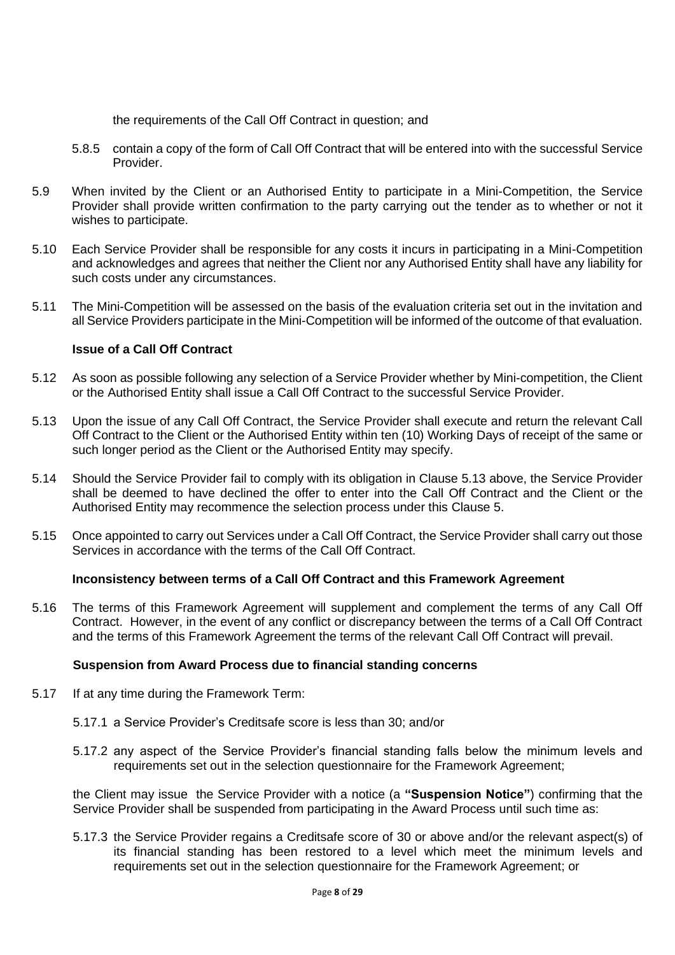the requirements of the Call Off Contract in question; and

- 5.8.5 contain a copy of the form of Call Off Contract that will be entered into with the successful Service Provider.
- 5.9 When invited by the Client or an Authorised Entity to participate in a Mini-Competition, the Service Provider shall provide written confirmation to the party carrying out the tender as to whether or not it wishes to participate.
- 5.10 Each Service Provider shall be responsible for any costs it incurs in participating in a Mini-Competition and acknowledges and agrees that neither the Client nor any Authorised Entity shall have any liability for such costs under any circumstances.
- 5.11 The Mini-Competition will be assessed on the basis of the evaluation criteria set out in the invitation and all Service Providers participate in the Mini-Competition will be informed of the outcome of that evaluation.

## **Issue of a Call Off Contract**

- 5.12 As soon as possible following any selection of a Service Provider whether by Mini-competition, the Client or the Authorised Entity shall issue a Call Off Contract to the successful Service Provider.
- 5.13 Upon the issue of any Call Off Contract, the Service Provider shall execute and return the relevant Call Off Contract to the Client or the Authorised Entity within ten (10) Working Days of receipt of the same or such longer period as the Client or the Authorised Entity may specify.
- 5.14 Should the Service Provider fail to comply with its obligation in Clause 5.13 above, the Service Provider shall be deemed to have declined the offer to enter into the Call Off Contract and the Client or the Authorised Entity may recommence the selection process under this Clause 5.
- 5.15 Once appointed to carry out Services under a Call Off Contract, the Service Provider shall carry out those Services in accordance with the terms of the Call Off Contract.

## **Inconsistency between terms of a Call Off Contract and this Framework Agreement**

5.16 The terms of this Framework Agreement will supplement and complement the terms of any Call Off Contract. However, in the event of any conflict or discrepancy between the terms of a Call Off Contract and the terms of this Framework Agreement the terms of the relevant Call Off Contract will prevail.

#### **Suspension from Award Process due to financial standing concerns**

- 5.17 If at any time during the Framework Term:
	- 5.17.1 a Service Provider's Creditsafe score is less than 30; and/or
	- 5.17.2 any aspect of the Service Provider's financial standing falls below the minimum levels and requirements set out in the selection questionnaire for the Framework Agreement;

the Client may issue the Service Provider with a notice (a **"Suspension Notice"**) confirming that the Service Provider shall be suspended from participating in the Award Process until such time as:

5.17.3 the Service Provider regains a Creditsafe score of 30 or above and/or the relevant aspect(s) of its financial standing has been restored to a level which meet the minimum levels and requirements set out in the selection questionnaire for the Framework Agreement; or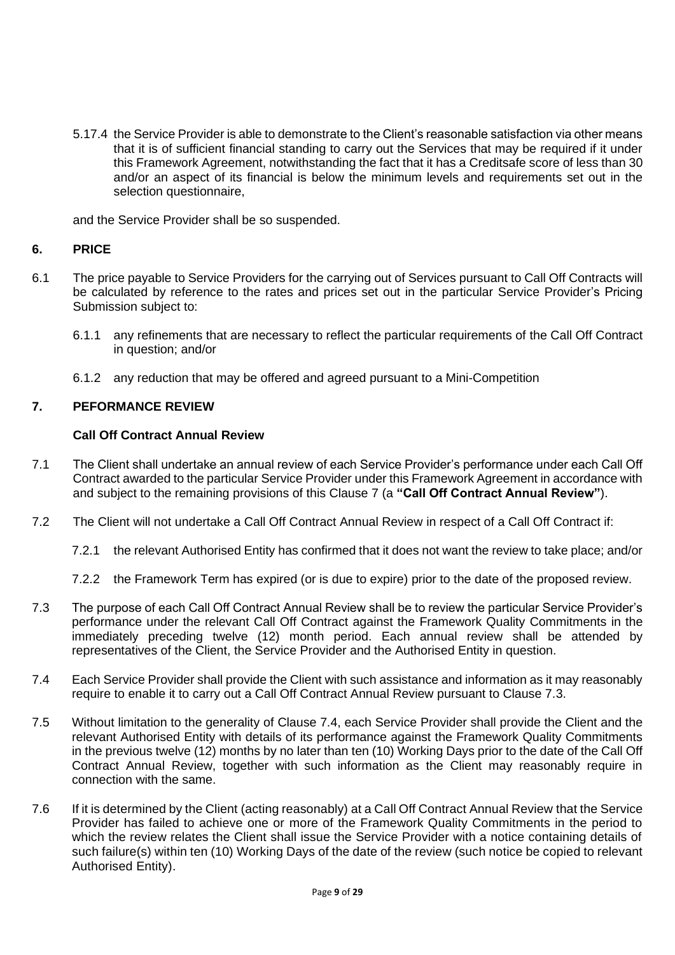5.17.4 the Service Provider is able to demonstrate to the Client's reasonable satisfaction via other means that it is of sufficient financial standing to carry out the Services that may be required if it under this Framework Agreement, notwithstanding the fact that it has a Creditsafe score of less than 30 and/or an aspect of its financial is below the minimum levels and requirements set out in the selection questionnaire,

and the Service Provider shall be so suspended.

## **6. PRICE**

- 6.1 The price payable to Service Providers for the carrying out of Services pursuant to Call Off Contracts will be calculated by reference to the rates and prices set out in the particular Service Provider's Pricing Submission subject to:
	- 6.1.1 any refinements that are necessary to reflect the particular requirements of the Call Off Contract in question; and/or
	- 6.1.2 any reduction that may be offered and agreed pursuant to a Mini-Competition

## **7. PEFORMANCE REVIEW**

### **Call Off Contract Annual Review**

- 7.1 The Client shall undertake an annual review of each Service Provider's performance under each Call Off Contract awarded to the particular Service Provider under this Framework Agreement in accordance with and subject to the remaining provisions of this Clause 7 (a **"Call Off Contract Annual Review"**).
- 7.2 The Client will not undertake a Call Off Contract Annual Review in respect of a Call Off Contract if:
	- 7.2.1 the relevant Authorised Entity has confirmed that it does not want the review to take place; and/or
	- 7.2.2 the Framework Term has expired (or is due to expire) prior to the date of the proposed review.
- 7.3 The purpose of each Call Off Contract Annual Review shall be to review the particular Service Provider's performance under the relevant Call Off Contract against the Framework Quality Commitments in the immediately preceding twelve (12) month period. Each annual review shall be attended by representatives of the Client, the Service Provider and the Authorised Entity in question.
- 7.4 Each Service Provider shall provide the Client with such assistance and information as it may reasonably require to enable it to carry out a Call Off Contract Annual Review pursuant to Clause 7.3.
- 7.5 Without limitation to the generality of Clause 7.4, each Service Provider shall provide the Client and the relevant Authorised Entity with details of its performance against the Framework Quality Commitments in the previous twelve (12) months by no later than ten (10) Working Days prior to the date of the Call Off Contract Annual Review, together with such information as the Client may reasonably require in connection with the same.
- 7.6 If it is determined by the Client (acting reasonably) at a Call Off Contract Annual Review that the Service Provider has failed to achieve one or more of the Framework Quality Commitments in the period to which the review relates the Client shall issue the Service Provider with a notice containing details of such failure(s) within ten (10) Working Days of the date of the review (such notice be copied to relevant Authorised Entity).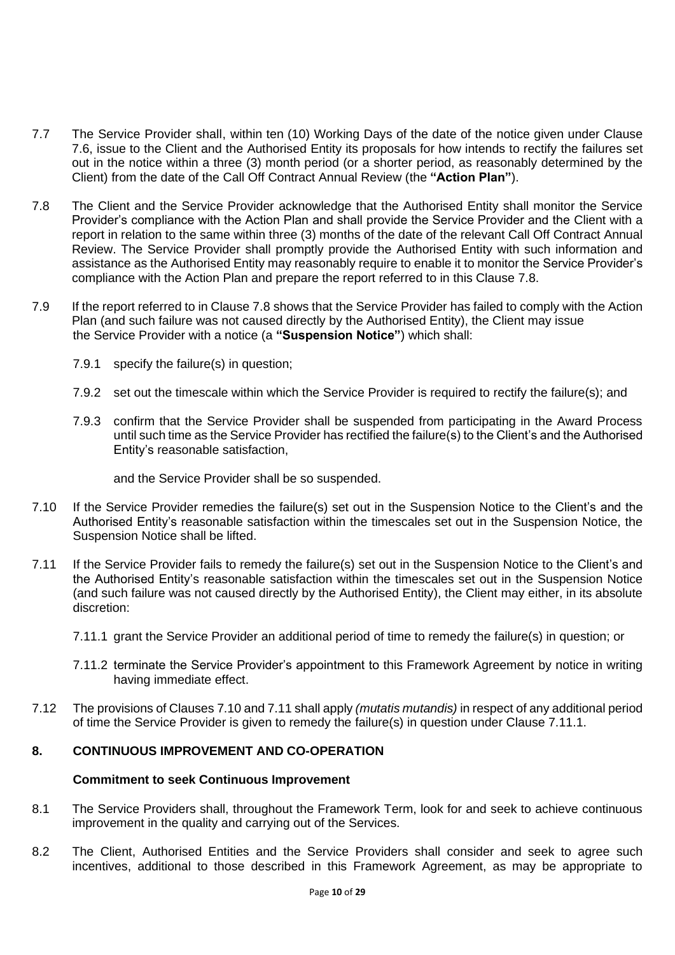- 7.7 The Service Provider shall, within ten (10) Working Days of the date of the notice given under Clause 7.6, issue to the Client and the Authorised Entity its proposals for how intends to rectify the failures set out in the notice within a three (3) month period (or a shorter period, as reasonably determined by the Client) from the date of the Call Off Contract Annual Review (the **"Action Plan"**).
- 7.8 The Client and the Service Provider acknowledge that the Authorised Entity shall monitor the Service Provider's compliance with the Action Plan and shall provide the Service Provider and the Client with a report in relation to the same within three (3) months of the date of the relevant Call Off Contract Annual Review. The Service Provider shall promptly provide the Authorised Entity with such information and assistance as the Authorised Entity may reasonably require to enable it to monitor the Service Provider's compliance with the Action Plan and prepare the report referred to in this Clause 7.8.
- 7.9 If the report referred to in Clause 7.8 shows that the Service Provider has failed to comply with the Action Plan (and such failure was not caused directly by the Authorised Entity), the Client may issue the Service Provider with a notice (a **"Suspension Notice"**) which shall:
	- 7.9.1 specify the failure(s) in question;
	- 7.9.2 set out the timescale within which the Service Provider is required to rectify the failure(s); and
	- 7.9.3 confirm that the Service Provider shall be suspended from participating in the Award Process until such time as the Service Provider has rectified the failure(s) to the Client's and the Authorised Entity's reasonable satisfaction,

and the Service Provider shall be so suspended.

- 7.10 If the Service Provider remedies the failure(s) set out in the Suspension Notice to the Client's and the Authorised Entity's reasonable satisfaction within the timescales set out in the Suspension Notice, the Suspension Notice shall be lifted.
- 7.11 If the Service Provider fails to remedy the failure(s) set out in the Suspension Notice to the Client's and the Authorised Entity's reasonable satisfaction within the timescales set out in the Suspension Notice (and such failure was not caused directly by the Authorised Entity), the Client may either, in its absolute discretion:
	- 7.11.1 grant the Service Provider an additional period of time to remedy the failure(s) in question; or
	- 7.11.2 terminate the Service Provider's appointment to this Framework Agreement by notice in writing having immediate effect.
- 7.12 The provisions of Clauses 7.10 and 7.11 shall apply *(mutatis mutandis)* in respect of any additional period of time the Service Provider is given to remedy the failure(s) in question under Clause 7.11.1.

# **8. CONTINUOUS IMPROVEMENT AND CO-OPERATION**

## **Commitment to seek Continuous Improvement**

- 8.1 The Service Providers shall, throughout the Framework Term, look for and seek to achieve continuous improvement in the quality and carrying out of the Services.
- 8.2 The Client, Authorised Entities and the Service Providers shall consider and seek to agree such incentives, additional to those described in this Framework Agreement, as may be appropriate to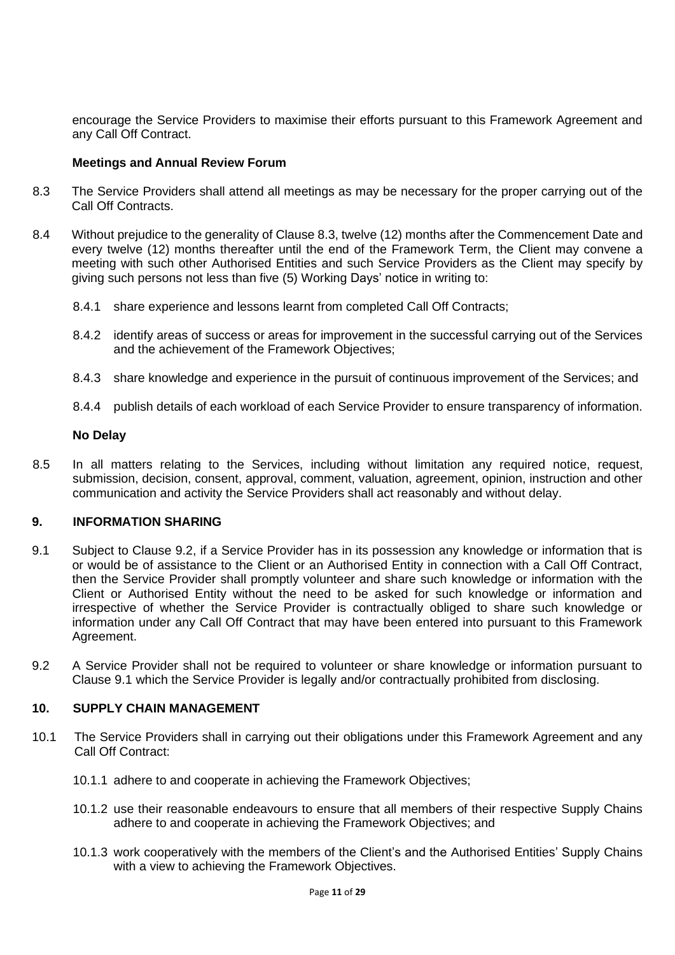encourage the Service Providers to maximise their efforts pursuant to this Framework Agreement and any Call Off Contract.

## **Meetings and Annual Review Forum**

- 8.3 The Service Providers shall attend all meetings as may be necessary for the proper carrying out of the Call Off Contracts.
- 8.4 Without prejudice to the generality of Clause 8.3, twelve (12) months after the Commencement Date and every twelve (12) months thereafter until the end of the Framework Term, the Client may convene a meeting with such other Authorised Entities and such Service Providers as the Client may specify by giving such persons not less than five (5) Working Days' notice in writing to:
	- 8.4.1 share experience and lessons learnt from completed Call Off Contracts;
	- 8.4.2 identify areas of success or areas for improvement in the successful carrying out of the Services and the achievement of the Framework Objectives;
	- 8.4.3 share knowledge and experience in the pursuit of continuous improvement of the Services; and
	- 8.4.4 publish details of each workload of each Service Provider to ensure transparency of information.

### **No Delay**

8.5 In all matters relating to the Services, including without limitation any required notice, request, submission, decision, consent, approval, comment, valuation, agreement, opinion, instruction and other communication and activity the Service Providers shall act reasonably and without delay.

## **9. INFORMATION SHARING**

- 9.1 Subject to Clause 9.2, if a Service Provider has in its possession any knowledge or information that is or would be of assistance to the Client or an Authorised Entity in connection with a Call Off Contract, then the Service Provider shall promptly volunteer and share such knowledge or information with the Client or Authorised Entity without the need to be asked for such knowledge or information and irrespective of whether the Service Provider is contractually obliged to share such knowledge or information under any Call Off Contract that may have been entered into pursuant to this Framework Agreement.
- 9.2 A Service Provider shall not be required to volunteer or share knowledge or information pursuant to Clause 9.1 which the Service Provider is legally and/or contractually prohibited from disclosing.

#### **10. SUPPLY CHAIN MANAGEMENT**

- 10.1 The Service Providers shall in carrying out their obligations under this Framework Agreement and any Call Off Contract:
	- 10.1.1 adhere to and cooperate in achieving the Framework Objectives;
	- 10.1.2 use their reasonable endeavours to ensure that all members of their respective Supply Chains adhere to and cooperate in achieving the Framework Objectives; and
	- 10.1.3 work cooperatively with the members of the Client's and the Authorised Entities' Supply Chains with a view to achieving the Framework Objectives.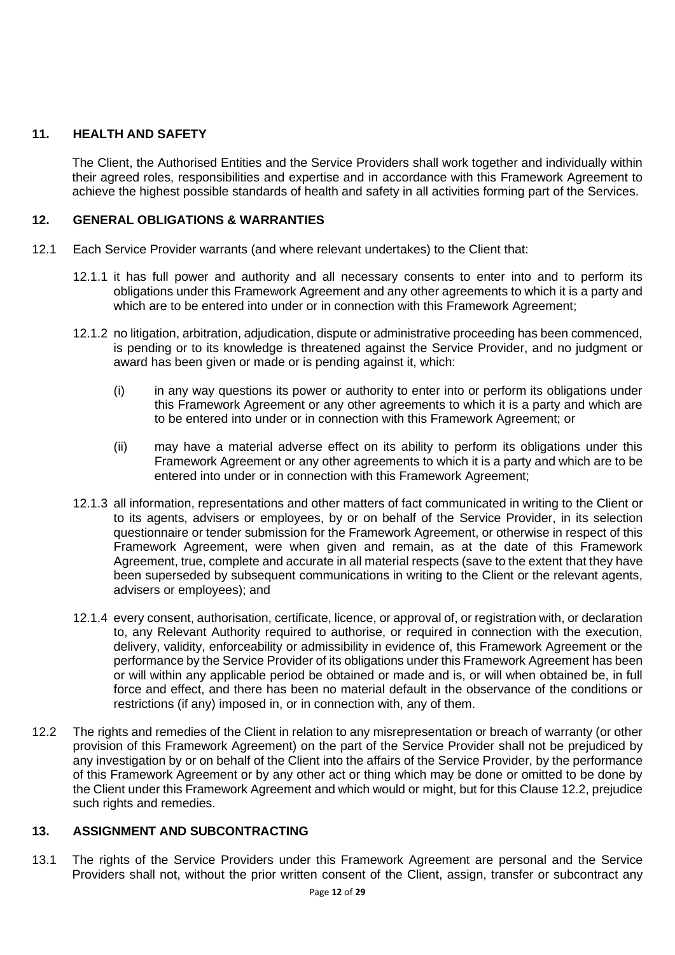# **11. HEALTH AND SAFETY**

The Client, the Authorised Entities and the Service Providers shall work together and individually within their agreed roles, responsibilities and expertise and in accordance with this Framework Agreement to achieve the highest possible standards of health and safety in all activities forming part of the Services.

## **12. GENERAL OBLIGATIONS & WARRANTIES**

- 12.1 Each Service Provider warrants (and where relevant undertakes) to the Client that:
	- 12.1.1 it has full power and authority and all necessary consents to enter into and to perform its obligations under this Framework Agreement and any other agreements to which it is a party and which are to be entered into under or in connection with this Framework Agreement;
	- 12.1.2 no litigation, arbitration, adjudication, dispute or administrative proceeding has been commenced, is pending or to its knowledge is threatened against the Service Provider, and no judgment or award has been given or made or is pending against it, which:
		- (i) in any way questions its power or authority to enter into or perform its obligations under this Framework Agreement or any other agreements to which it is a party and which are to be entered into under or in connection with this Framework Agreement; or
		- (ii) may have a material adverse effect on its ability to perform its obligations under this Framework Agreement or any other agreements to which it is a party and which are to be entered into under or in connection with this Framework Agreement;
	- 12.1.3 all information, representations and other matters of fact communicated in writing to the Client or to its agents, advisers or employees, by or on behalf of the Service Provider, in its selection questionnaire or tender submission for the Framework Agreement, or otherwise in respect of this Framework Agreement, were when given and remain, as at the date of this Framework Agreement, true, complete and accurate in all material respects (save to the extent that they have been superseded by subsequent communications in writing to the Client or the relevant agents, advisers or employees); and
	- 12.1.4 every consent, authorisation, certificate, licence, or approval of, or registration with, or declaration to, any Relevant Authority required to authorise, or required in connection with the execution, delivery, validity, enforceability or admissibility in evidence of, this Framework Agreement or the performance by the Service Provider of its obligations under this Framework Agreement has been or will within any applicable period be obtained or made and is, or will when obtained be, in full force and effect, and there has been no material default in the observance of the conditions or restrictions (if any) imposed in, or in connection with, any of them.
- 12.2 The rights and remedies of the Client in relation to any misrepresentation or breach of warranty (or other provision of this Framework Agreement) on the part of the Service Provider shall not be prejudiced by any investigation by or on behalf of the Client into the affairs of the Service Provider, by the performance of this Framework Agreement or by any other act or thing which may be done or omitted to be done by the Client under this Framework Agreement and which would or might, but for this Clause 12.2, prejudice such rights and remedies.

# **13. ASSIGNMENT AND SUBCONTRACTING**

13.1 The rights of the Service Providers under this Framework Agreement are personal and the Service Providers shall not, without the prior written consent of the Client, assign, transfer or subcontract any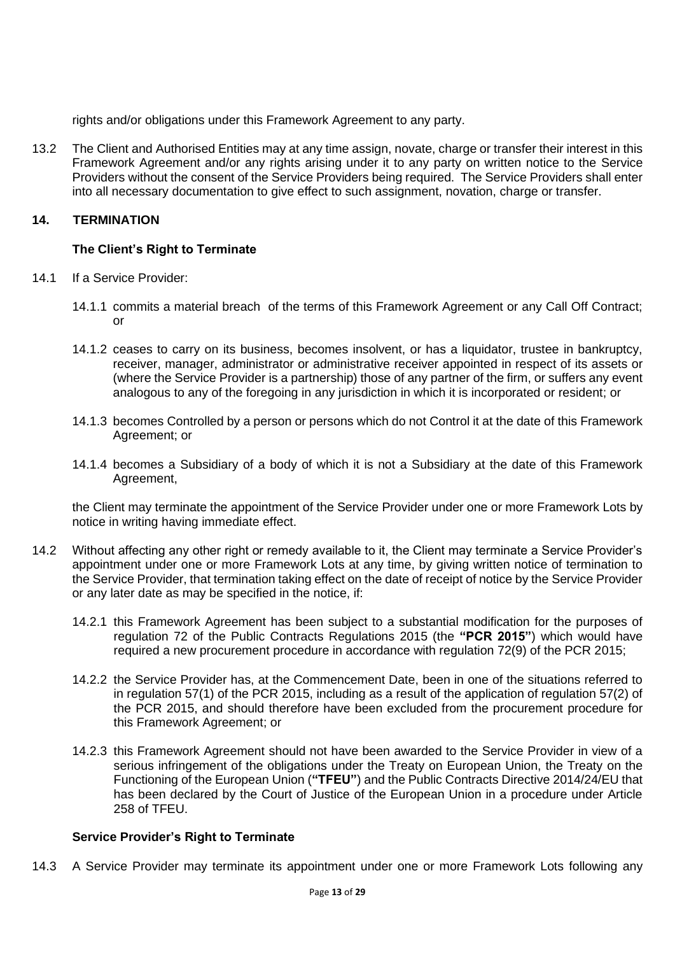rights and/or obligations under this Framework Agreement to any party.

13.2 The Client and Authorised Entities may at any time assign, novate, charge or transfer their interest in this Framework Agreement and/or any rights arising under it to any party on written notice to the Service Providers without the consent of the Service Providers being required. The Service Providers shall enter into all necessary documentation to give effect to such assignment, novation, charge or transfer.

## **14. TERMINATION**

## **The Client's Right to Terminate**

- 14.1 If a Service Provider:
	- 14.1.1 commits a material breach of the terms of this Framework Agreement or any Call Off Contract; or
	- 14.1.2 ceases to carry on its business, becomes insolvent, or has a liquidator, trustee in bankruptcy, receiver, manager, administrator or administrative receiver appointed in respect of its assets or (where the Service Provider is a partnership) those of any partner of the firm, or suffers any event analogous to any of the foregoing in any jurisdiction in which it is incorporated or resident; or
	- 14.1.3 becomes Controlled by a person or persons which do not Control it at the date of this Framework Agreement; or
	- 14.1.4 becomes a Subsidiary of a body of which it is not a Subsidiary at the date of this Framework Agreement,

the Client may terminate the appointment of the Service Provider under one or more Framework Lots by notice in writing having immediate effect.

- 14.2 Without affecting any other right or remedy available to it, the Client may terminate a Service Provider's appointment under one or more Framework Lots at any time, by giving written notice of termination to the Service Provider, that termination taking effect on the date of receipt of notice by the Service Provider or any later date as may be specified in the notice, if:
	- 14.2.1 this Framework Agreement has been subject to a substantial modification for the purposes of regulation 72 of the Public Contracts Regulations 2015 (the **"PCR 2015"**) which would have required a new procurement procedure in accordance with regulation 72(9) of the PCR 2015;
	- 14.2.2 the Service Provider has, at the Commencement Date, been in one of the situations referred to in regulation 57(1) of the PCR 2015, including as a result of the application of regulation 57(2) of the PCR 2015, and should therefore have been excluded from the procurement procedure for this Framework Agreement; or
	- 14.2.3 this Framework Agreement should not have been awarded to the Service Provider in view of a serious infringement of the obligations under the Treaty on European Union, the Treaty on the Functioning of the European Union (**"TFEU"**) and the Public Contracts Directive 2014/24/EU that has been declared by the Court of Justice of the European Union in a procedure under Article 258 of TFEU.

## **Service Provider's Right to Terminate**

14.3 A Service Provider may terminate its appointment under one or more Framework Lots following any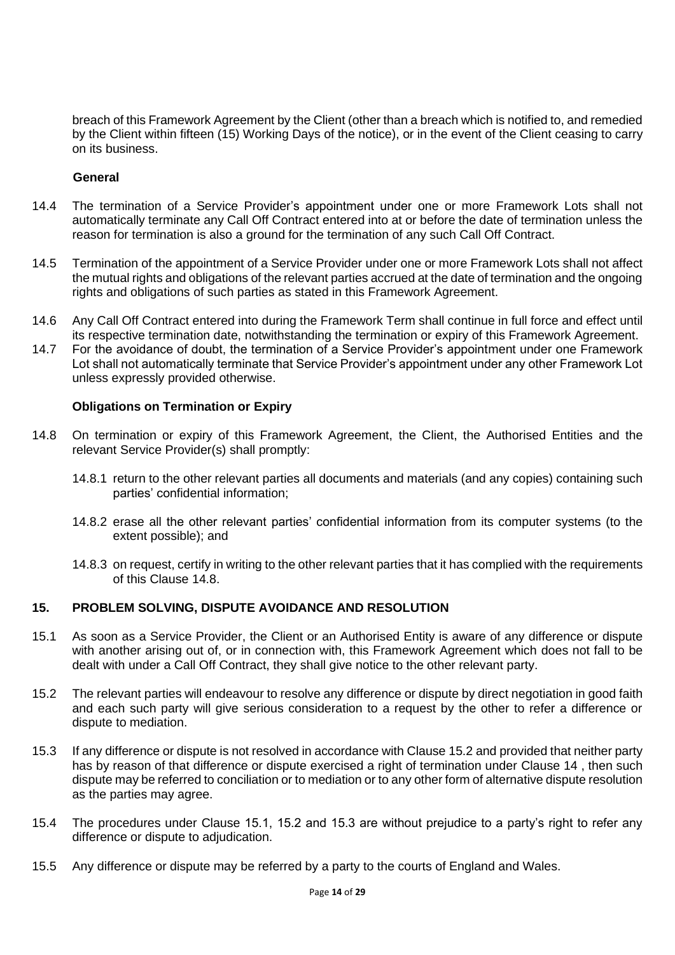breach of this Framework Agreement by the Client (other than a breach which is notified to, and remedied by the Client within fifteen (15) Working Days of the notice), or in the event of the Client ceasing to carry on its business.

## **General**

- 14.4 The termination of a Service Provider's appointment under one or more Framework Lots shall not automatically terminate any Call Off Contract entered into at or before the date of termination unless the reason for termination is also a ground for the termination of any such Call Off Contract.
- 14.5 Termination of the appointment of a Service Provider under one or more Framework Lots shall not affect the mutual rights and obligations of the relevant parties accrued at the date of termination and the ongoing rights and obligations of such parties as stated in this Framework Agreement.
- 14.6 Any Call Off Contract entered into during the Framework Term shall continue in full force and effect until its respective termination date, notwithstanding the termination or expiry of this Framework Agreement.
- 14.7 For the avoidance of doubt, the termination of a Service Provider's appointment under one Framework Lot shall not automatically terminate that Service Provider's appointment under any other Framework Lot unless expressly provided otherwise.

## **Obligations on Termination or Expiry**

- 14.8 On termination or expiry of this Framework Agreement, the Client, the Authorised Entities and the relevant Service Provider(s) shall promptly:
	- 14.8.1 return to the other relevant parties all documents and materials (and any copies) containing such parties' confidential information;
	- 14.8.2 erase all the other relevant parties' confidential information from its computer systems (to the extent possible); and
	- 14.8.3 on request, certify in writing to the other relevant parties that it has complied with the requirements of this Clause 14.8.

## **15. PROBLEM SOLVING, DISPUTE AVOIDANCE AND RESOLUTION**

- 15.1 As soon as a Service Provider, the Client or an Authorised Entity is aware of any difference or dispute with another arising out of, or in connection with, this Framework Agreement which does not fall to be dealt with under a Call Off Contract, they shall give notice to the other relevant party.
- 15.2 The relevant parties will endeavour to resolve any difference or dispute by direct negotiation in good faith and each such party will give serious consideration to a request by the other to refer a difference or dispute to mediation.
- 15.3 If any difference or dispute is not resolved in accordance with Clause 15.2 and provided that neither party has by reason of that difference or dispute exercised a right of termination under Clause 14 , then such dispute may be referred to conciliation or to mediation or to any other form of alternative dispute resolution as the parties may agree.
- 15.4 The procedures under Clause 15.1, 15.2 and 15.3 are without prejudice to a party's right to refer any difference or dispute to adjudication.
- 15.5 Any difference or dispute may be referred by a party to the courts of England and Wales.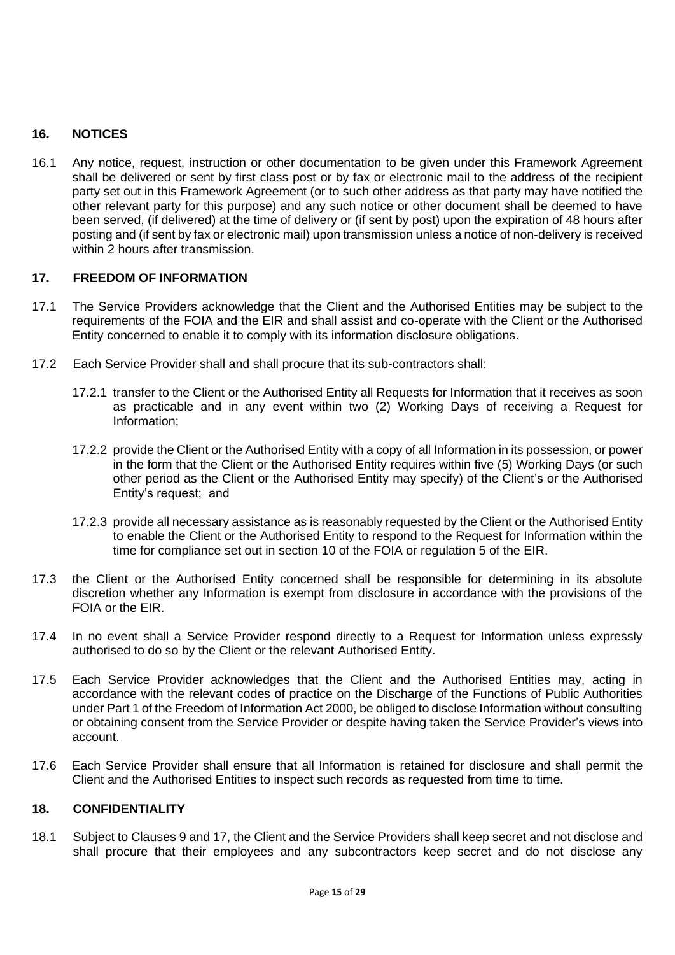# **16. NOTICES**

16.1 Any notice, request, instruction or other documentation to be given under this Framework Agreement shall be delivered or sent by first class post or by fax or electronic mail to the address of the recipient party set out in this Framework Agreement (or to such other address as that party may have notified the other relevant party for this purpose) and any such notice or other document shall be deemed to have been served, (if delivered) at the time of delivery or (if sent by post) upon the expiration of 48 hours after posting and (if sent by fax or electronic mail) upon transmission unless a notice of non-delivery is received within 2 hours after transmission.

## **17. FREEDOM OF INFORMATION**

- 17.1 The Service Providers acknowledge that the Client and the Authorised Entities may be subject to the requirements of the FOIA and the EIR and shall assist and co-operate with the Client or the Authorised Entity concerned to enable it to comply with its information disclosure obligations.
- 17.2 Each Service Provider shall and shall procure that its sub-contractors shall:
	- 17.2.1 transfer to the Client or the Authorised Entity all Requests for Information that it receives as soon as practicable and in any event within two (2) Working Days of receiving a Request for Information;
	- 17.2.2 provide the Client or the Authorised Entity with a copy of all Information in its possession, or power in the form that the Client or the Authorised Entity requires within five (5) Working Days (or such other period as the Client or the Authorised Entity may specify) of the Client's or the Authorised Entity's request; and
	- 17.2.3 provide all necessary assistance as is reasonably requested by the Client or the Authorised Entity to enable the Client or the Authorised Entity to respond to the Request for Information within the time for compliance set out in section 10 of the FOIA or regulation 5 of the EIR.
- 17.3 the Client or the Authorised Entity concerned shall be responsible for determining in its absolute discretion whether any Information is exempt from disclosure in accordance with the provisions of the FOIA or the EIR.
- 17.4 In no event shall a Service Provider respond directly to a Request for Information unless expressly authorised to do so by the Client or the relevant Authorised Entity.
- 17.5 Each Service Provider acknowledges that the Client and the Authorised Entities may, acting in accordance with the relevant codes of practice on the Discharge of the Functions of Public Authorities under Part 1 of the Freedom of Information Act 2000, be obliged to disclose Information without consulting or obtaining consent from the Service Provider or despite having taken the Service Provider's views into account.
- 17.6 Each Service Provider shall ensure that all Information is retained for disclosure and shall permit the Client and the Authorised Entities to inspect such records as requested from time to time.

## **18. CONFIDENTIALITY**

18.1 Subject to Clauses 9 and 17, the Client and the Service Providers shall keep secret and not disclose and shall procure that their employees and any subcontractors keep secret and do not disclose any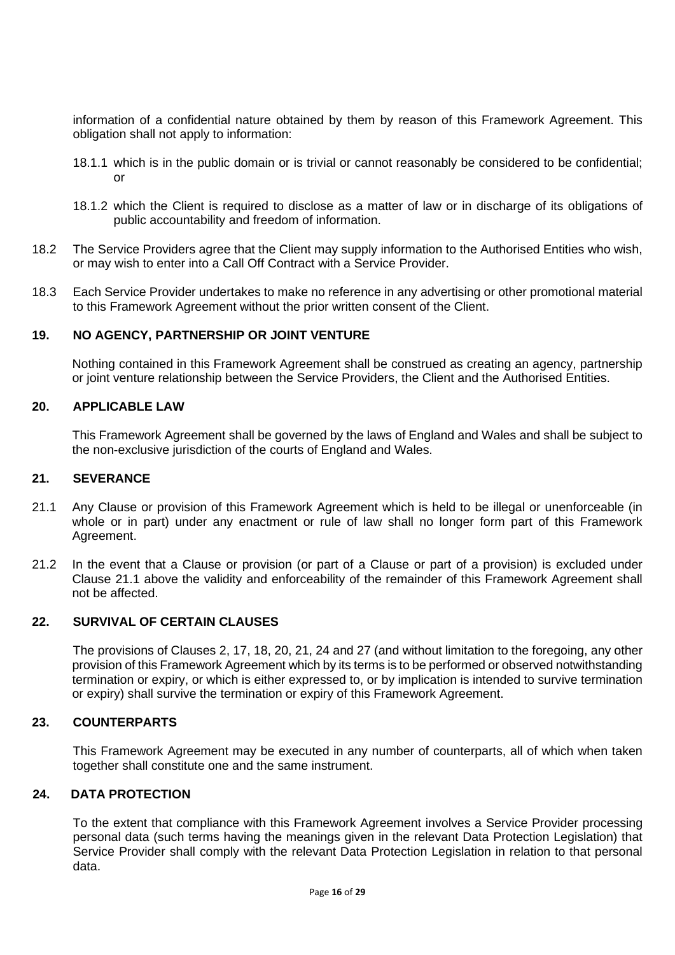information of a confidential nature obtained by them by reason of this Framework Agreement. This obligation shall not apply to information:

- 18.1.1 which is in the public domain or is trivial or cannot reasonably be considered to be confidential; or
- 18.1.2 which the Client is required to disclose as a matter of law or in discharge of its obligations of public accountability and freedom of information.
- 18.2 The Service Providers agree that the Client may supply information to the Authorised Entities who wish, or may wish to enter into a Call Off Contract with a Service Provider.
- 18.3 Each Service Provider undertakes to make no reference in any advertising or other promotional material to this Framework Agreement without the prior written consent of the Client.

### **19. NO AGENCY, PARTNERSHIP OR JOINT VENTURE**

Nothing contained in this Framework Agreement shall be construed as creating an agency, partnership or joint venture relationship between the Service Providers, the Client and the Authorised Entities.

## **20. APPLICABLE LAW**

This Framework Agreement shall be governed by the laws of England and Wales and shall be subject to the non-exclusive jurisdiction of the courts of England and Wales.

#### **21. SEVERANCE**

- 21.1 Any Clause or provision of this Framework Agreement which is held to be illegal or unenforceable (in whole or in part) under any enactment or rule of law shall no longer form part of this Framework Agreement.
- 21.2 In the event that a Clause or provision (or part of a Clause or part of a provision) is excluded under Clause 21.1 above the validity and enforceability of the remainder of this Framework Agreement shall not be affected.

#### **22. SURVIVAL OF CERTAIN CLAUSES**

The provisions of Clauses 2, 17, 18, 20, 21, 24 and 27 (and without limitation to the foregoing, any other provision of this Framework Agreement which by its terms is to be performed or observed notwithstanding termination or expiry, or which is either expressed to, or by implication is intended to survive termination or expiry) shall survive the termination or expiry of this Framework Agreement.

#### **23. COUNTERPARTS**

This Framework Agreement may be executed in any number of counterparts, all of which when taken together shall constitute one and the same instrument.

#### **24. DATA PROTECTION**

To the extent that compliance with this Framework Agreement involves a Service Provider processing personal data (such terms having the meanings given in the relevant Data Protection Legislation) that Service Provider shall comply with the relevant Data Protection Legislation in relation to that personal data.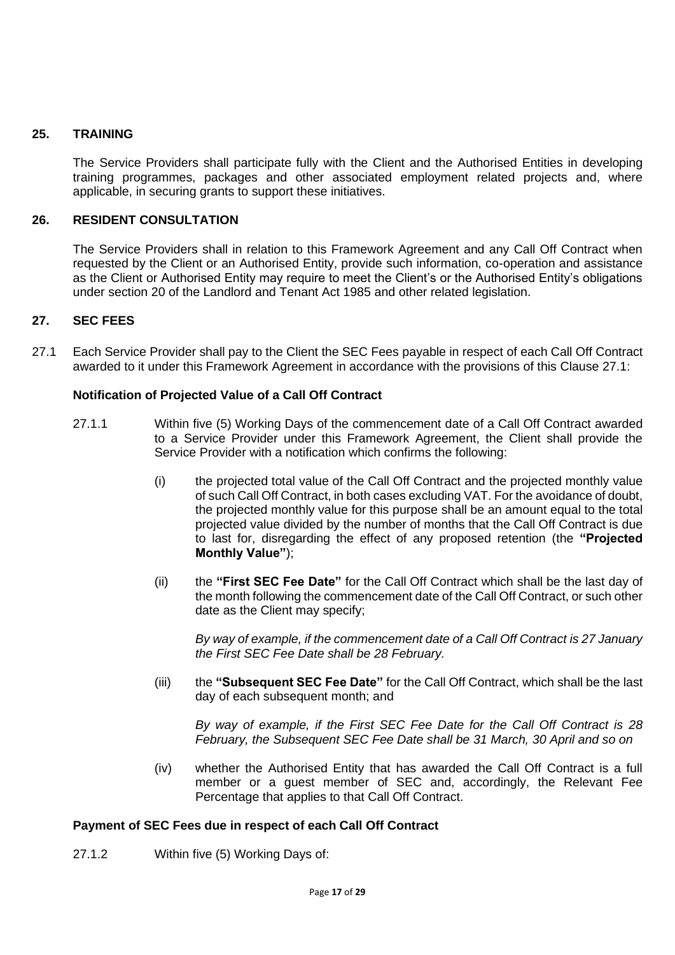## **25. TRAINING**

The Service Providers shall participate fully with the Client and the Authorised Entities in developing training programmes, packages and other associated employment related projects and, where applicable, in securing grants to support these initiatives.

## **26. RESIDENT CONSULTATION**

The Service Providers shall in relation to this Framework Agreement and any Call Off Contract when requested by the Client or an Authorised Entity, provide such information, co-operation and assistance as the Client or Authorised Entity may require to meet the Client's or the Authorised Entity's obligations under section 20 of the Landlord and Tenant Act 1985 and other related legislation.

## **27. SEC FEES**

27.1 Each Service Provider shall pay to the Client the SEC Fees payable in respect of each Call Off Contract awarded to it under this Framework Agreement in accordance with the provisions of this Clause 27.1:

### **Notification of Projected Value of a Call Off Contract**

- 27.1.1 Within five (5) Working Days of the commencement date of a Call Off Contract awarded to a Service Provider under this Framework Agreement, the Client shall provide the Service Provider with a notification which confirms the following:
	- (i) the projected total value of the Call Off Contract and the projected monthly value of such Call Off Contract, in both cases excluding VAT. For the avoidance of doubt, the projected monthly value for this purpose shall be an amount equal to the total projected value divided by the number of months that the Call Off Contract is due to last for, disregarding the effect of any proposed retention (the **"Projected Monthly Value"**);
	- (ii) the **"First SEC Fee Date"** for the Call Off Contract which shall be the last day of the month following the commencement date of the Call Off Contract, or such other date as the Client may specify;

*By way of example, if the commencement date of a Call Off Contract is 27 January the First SEC Fee Date shall be 28 February.*

(iii) the **"Subsequent SEC Fee Date"** for the Call Off Contract, which shall be the last day of each subsequent month; and

*By way of example, if the First SEC Fee Date for the Call Off Contract is 28 February, the Subsequent SEC Fee Date shall be 31 March, 30 April and so on*

(iv) whether the Authorised Entity that has awarded the Call Off Contract is a full member or a guest member of SEC and, accordingly, the Relevant Fee Percentage that applies to that Call Off Contract.

## **Payment of SEC Fees due in respect of each Call Off Contract**

27.1.2 Within five (5) Working Days of: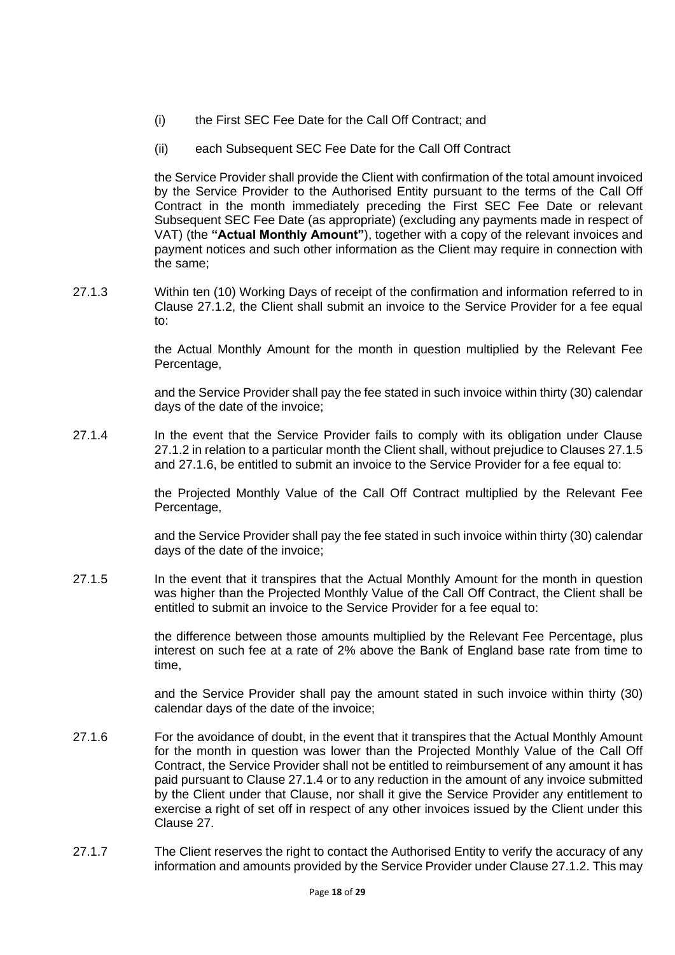- (i) the First SEC Fee Date for the Call Off Contract; and
- (ii) each Subsequent SEC Fee Date for the Call Off Contract

the Service Provider shall provide the Client with confirmation of the total amount invoiced by the Service Provider to the Authorised Entity pursuant to the terms of the Call Off Contract in the month immediately preceding the First SEC Fee Date or relevant Subsequent SEC Fee Date (as appropriate) (excluding any payments made in respect of VAT) (the **"Actual Monthly Amount"**), together with a copy of the relevant invoices and payment notices and such other information as the Client may require in connection with the same;

27.1.3 Within ten (10) Working Days of receipt of the confirmation and information referred to in Clause 27.1.2, the Client shall submit an invoice to the Service Provider for a fee equal to:

> the Actual Monthly Amount for the month in question multiplied by the Relevant Fee Percentage,

> and the Service Provider shall pay the fee stated in such invoice within thirty (30) calendar days of the date of the invoice;

27.1.4 In the event that the Service Provider fails to comply with its obligation under Clause 27.1.2 in relation to a particular month the Client shall, without prejudice to Clauses 27.1.5 and 27.1.6, be entitled to submit an invoice to the Service Provider for a fee equal to:

> the Projected Monthly Value of the Call Off Contract multiplied by the Relevant Fee Percentage,

> and the Service Provider shall pay the fee stated in such invoice within thirty (30) calendar days of the date of the invoice;

27.1.5 In the event that it transpires that the Actual Monthly Amount for the month in question was higher than the Projected Monthly Value of the Call Off Contract, the Client shall be entitled to submit an invoice to the Service Provider for a fee equal to:

> the difference between those amounts multiplied by the Relevant Fee Percentage, plus interest on such fee at a rate of 2% above the Bank of England base rate from time to time,

> and the Service Provider shall pay the amount stated in such invoice within thirty (30) calendar days of the date of the invoice;

- 27.1.6 For the avoidance of doubt, in the event that it transpires that the Actual Monthly Amount for the month in question was lower than the Projected Monthly Value of the Call Off Contract, the Service Provider shall not be entitled to reimbursement of any amount it has paid pursuant to Clause 27.1.4 or to any reduction in the amount of any invoice submitted by the Client under that Clause, nor shall it give the Service Provider any entitlement to exercise a right of set off in respect of any other invoices issued by the Client under this Clause 27.
- 27.1.7 The Client reserves the right to contact the Authorised Entity to verify the accuracy of any information and amounts provided by the Service Provider under Clause 27.1.2. This may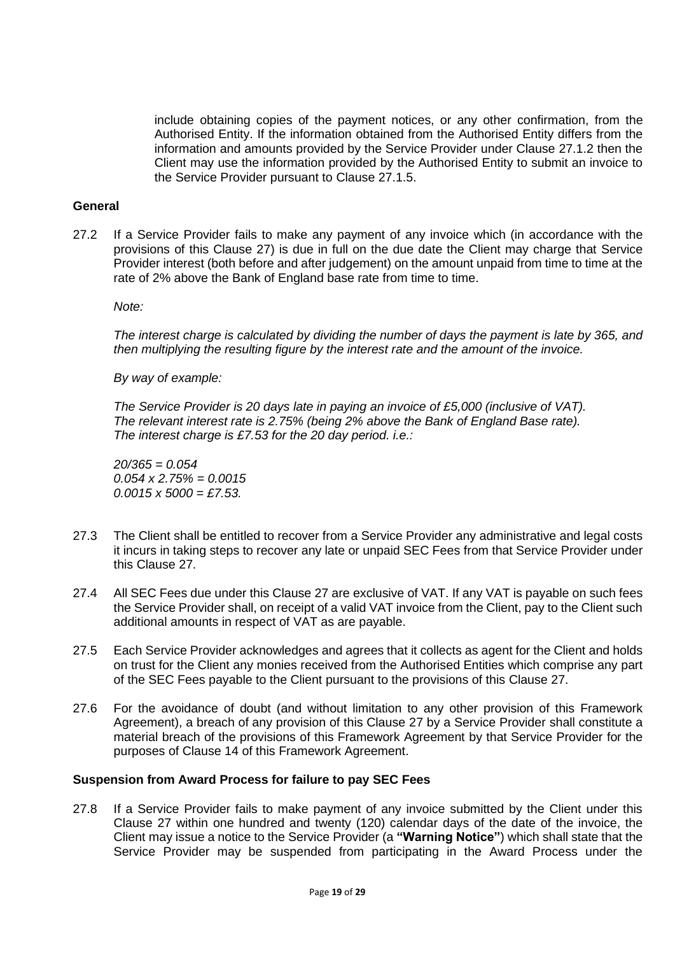include obtaining copies of the payment notices, or any other confirmation, from the Authorised Entity. If the information obtained from the Authorised Entity differs from the information and amounts provided by the Service Provider under Clause 27.1.2 then the Client may use the information provided by the Authorised Entity to submit an invoice to the Service Provider pursuant to Clause 27.1.5.

# **General**

27.2 If a Service Provider fails to make any payment of any invoice which (in accordance with the provisions of this Clause 27) is due in full on the due date the Client may charge that Service Provider interest (both before and after judgement) on the amount unpaid from time to time at the rate of 2% above the Bank of England base rate from time to time.

*Note:*

*The interest charge is calculated by dividing the number of days the payment is late by 365, and then multiplying the resulting figure by the interest rate and the amount of the invoice.* 

*By way of example:* 

*The Service Provider is 20 days late in paying an invoice of £5,000 (inclusive of VAT). The relevant interest rate is 2.75% (being 2% above the Bank of England Base rate). The interest charge is £7.53 for the 20 day period. i.e.:*

*20/365 = 0.054 0.054 x 2.75% = 0.0015 0.0015 x 5000 = £7.53.*

- 27.3 The Client shall be entitled to recover from a Service Provider any administrative and legal costs it incurs in taking steps to recover any late or unpaid SEC Fees from that Service Provider under this Clause 27.
- 27.4 All SEC Fees due under this Clause 27 are exclusive of VAT. If any VAT is payable on such fees the Service Provider shall, on receipt of a valid VAT invoice from the Client, pay to the Client such additional amounts in respect of VAT as are payable.
- 27.5 Each Service Provider acknowledges and agrees that it collects as agent for the Client and holds on trust for the Client any monies received from the Authorised Entities which comprise any part of the SEC Fees payable to the Client pursuant to the provisions of this Clause 27.
- 27.6 For the avoidance of doubt (and without limitation to any other provision of this Framework Agreement), a breach of any provision of this Clause 27 by a Service Provider shall constitute a material breach of the provisions of this Framework Agreement by that Service Provider for the purposes of Clause 14 of this Framework Agreement.

## **Suspension from Award Process for failure to pay SEC Fees**

27.8 If a Service Provider fails to make payment of any invoice submitted by the Client under this Clause 27 within one hundred and twenty (120) calendar days of the date of the invoice, the Client may issue a notice to the Service Provider (a **"Warning Notice"**) which shall state that the Service Provider may be suspended from participating in the Award Process under the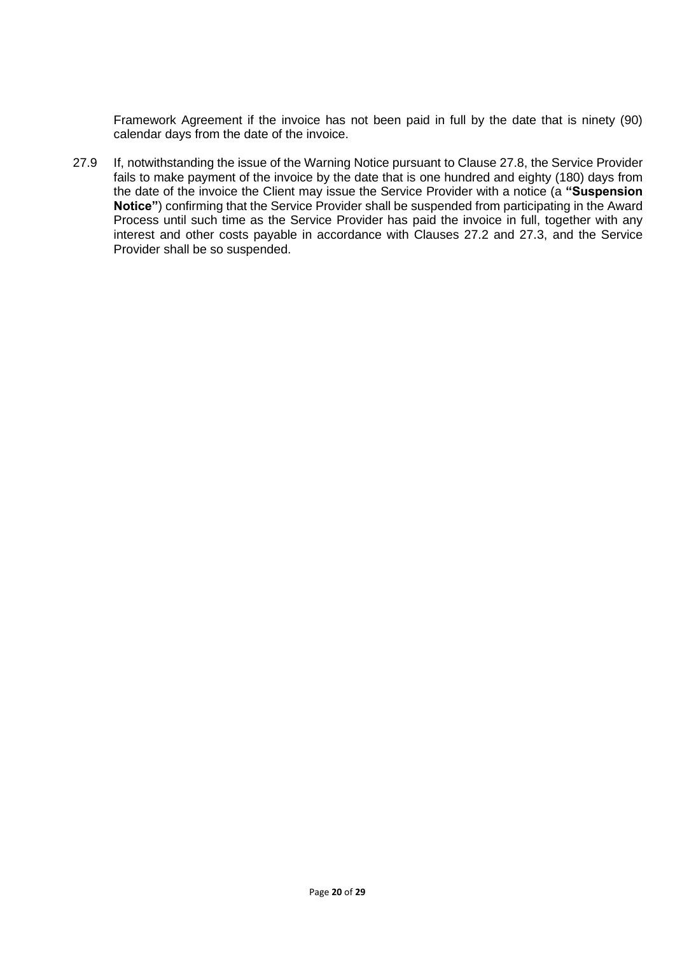Framework Agreement if the invoice has not been paid in full by the date that is ninety (90) calendar days from the date of the invoice.

27.9 If, notwithstanding the issue of the Warning Notice pursuant to Clause 27.8, the Service Provider fails to make payment of the invoice by the date that is one hundred and eighty (180) days from the date of the invoice the Client may issue the Service Provider with a notice (a **"Suspension Notice"**) confirming that the Service Provider shall be suspended from participating in the Award Process until such time as the Service Provider has paid the invoice in full, together with any interest and other costs payable in accordance with Clauses 27.2 and 27.3, and the Service Provider shall be so suspended.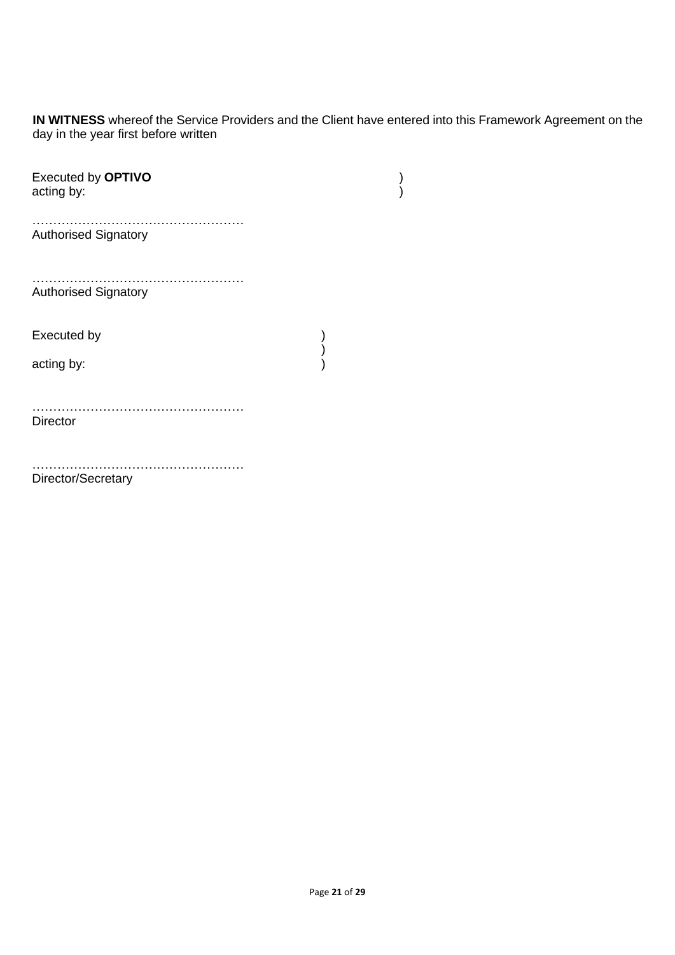**IN WITNESS** whereof the Service Providers and the Client have entered into this Framework Agreement on the day in the year first before written

| Executed by OPTIVO<br>acting by: |  |
|----------------------------------|--|
| <b>Authorised Signatory</b>      |  |
| <b>Authorised Signatory</b>      |  |
| Executed by                      |  |
| acting by:                       |  |
| <b>Director</b>                  |  |
| Director/Secretary               |  |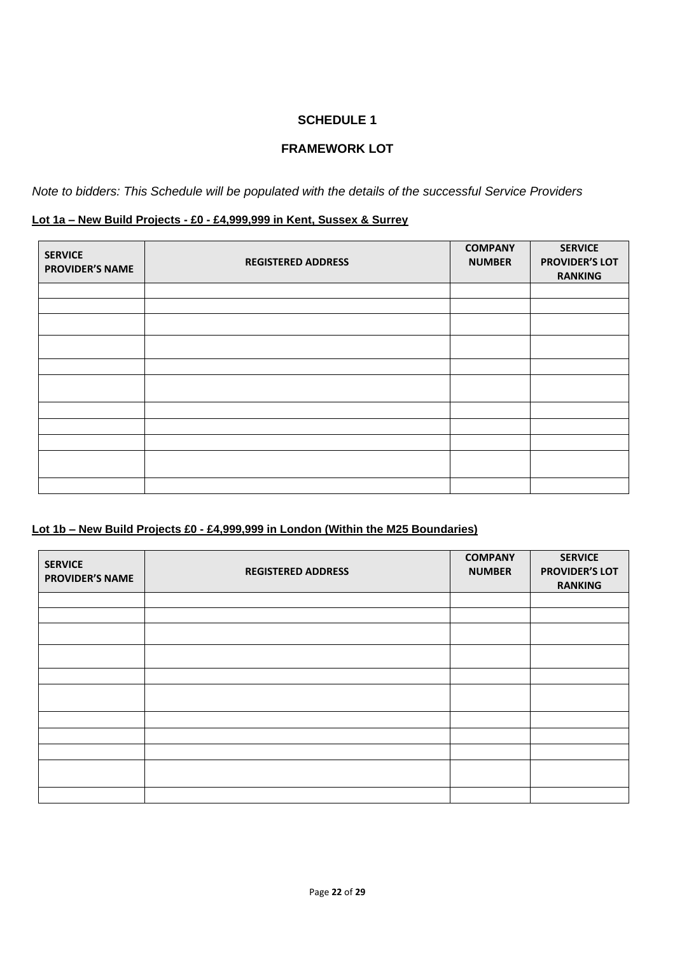# **FRAMEWORK LOT**

*Note to bidders: This Schedule will be populated with the details of the successful Service Providers*

## **Lot 1a – New Build Projects - £0 - £4,999,999 in Kent, Sussex & Surrey**

| <b>SERVICE</b><br><b>PROVIDER'S NAME</b> | <b>REGISTERED ADDRESS</b> | <b>COMPANY</b><br><b>NUMBER</b> | <b>SERVICE</b><br><b>PROVIDER'S LOT</b><br><b>RANKING</b> |
|------------------------------------------|---------------------------|---------------------------------|-----------------------------------------------------------|
|                                          |                           |                                 |                                                           |
|                                          |                           |                                 |                                                           |
|                                          |                           |                                 |                                                           |
|                                          |                           |                                 |                                                           |
|                                          |                           |                                 |                                                           |
|                                          |                           |                                 |                                                           |
|                                          |                           |                                 |                                                           |
|                                          |                           |                                 |                                                           |
|                                          |                           |                                 |                                                           |
|                                          |                           |                                 |                                                           |
|                                          |                           |                                 |                                                           |

# **Lot 1b – New Build Projects £0 - £4,999,999 in London (Within the M25 Boundaries)**

| <b>SERVICE</b><br><b>PROVIDER'S NAME</b> | <b>REGISTERED ADDRESS</b> | <b>COMPANY</b><br><b>NUMBER</b> | <b>SERVICE</b><br><b>PROVIDER'S LOT</b><br><b>RANKING</b> |
|------------------------------------------|---------------------------|---------------------------------|-----------------------------------------------------------|
|                                          |                           |                                 |                                                           |
|                                          |                           |                                 |                                                           |
|                                          |                           |                                 |                                                           |
|                                          |                           |                                 |                                                           |
|                                          |                           |                                 |                                                           |
|                                          |                           |                                 |                                                           |
|                                          |                           |                                 |                                                           |
|                                          |                           |                                 |                                                           |
|                                          |                           |                                 |                                                           |
|                                          |                           |                                 |                                                           |
|                                          |                           |                                 |                                                           |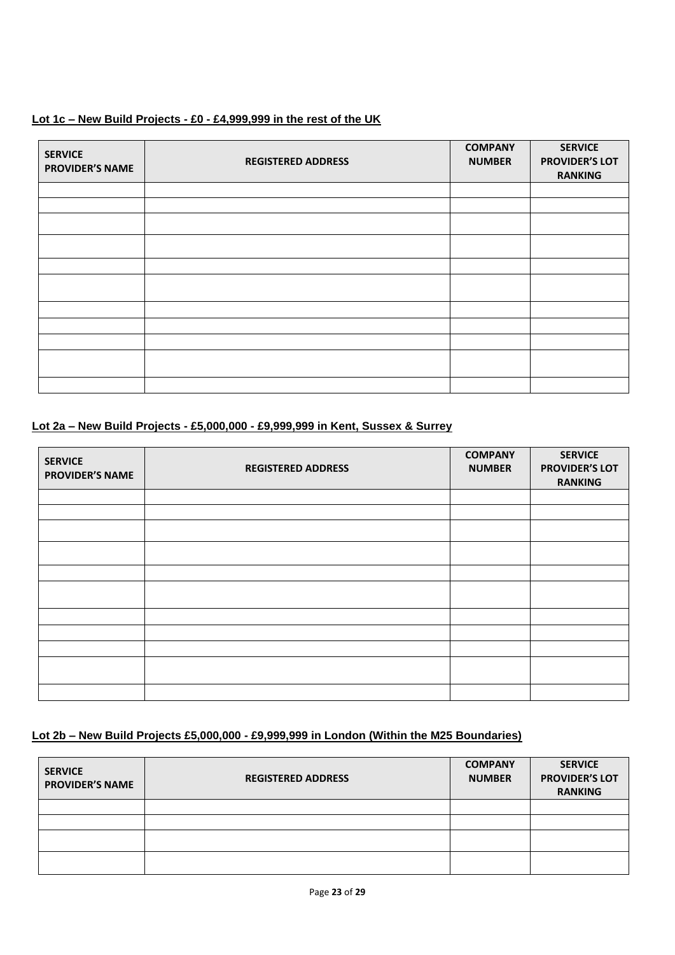## **Lot 1c – New Build Projects - £0 - £4,999,999 in the rest of the UK**

| <b>SERVICE</b><br><b>PROVIDER'S NAME</b> | <b>REGISTERED ADDRESS</b> | <b>COMPANY</b><br><b>NUMBER</b> | <b>SERVICE</b><br><b>PROVIDER'S LOT</b><br><b>RANKING</b> |
|------------------------------------------|---------------------------|---------------------------------|-----------------------------------------------------------|
|                                          |                           |                                 |                                                           |
|                                          |                           |                                 |                                                           |
|                                          |                           |                                 |                                                           |
|                                          |                           |                                 |                                                           |
|                                          |                           |                                 |                                                           |
|                                          |                           |                                 |                                                           |
|                                          |                           |                                 |                                                           |
|                                          |                           |                                 |                                                           |
|                                          |                           |                                 |                                                           |
|                                          |                           |                                 |                                                           |
|                                          |                           |                                 |                                                           |

## **Lot 2a – New Build Projects - £5,000,000 - £9,999,999 in Kent, Sussex & Surrey**

| <b>SERVICE</b><br><b>PROVIDER'S NAME</b> | <b>REGISTERED ADDRESS</b> | <b>COMPANY</b><br><b>NUMBER</b> | <b>SERVICE</b><br><b>PROVIDER'S LOT</b><br><b>RANKING</b> |
|------------------------------------------|---------------------------|---------------------------------|-----------------------------------------------------------|
|                                          |                           |                                 |                                                           |
|                                          |                           |                                 |                                                           |
|                                          |                           |                                 |                                                           |
|                                          |                           |                                 |                                                           |
|                                          |                           |                                 |                                                           |
|                                          |                           |                                 |                                                           |
|                                          |                           |                                 |                                                           |
|                                          |                           |                                 |                                                           |
|                                          |                           |                                 |                                                           |
|                                          |                           |                                 |                                                           |
|                                          |                           |                                 |                                                           |

## **Lot 2b – New Build Projects £5,000,000 - £9,999,999 in London (Within the M25 Boundaries)**

| <b>SERVICE</b><br><b>PROVIDER'S NAME</b> | <b>REGISTERED ADDRESS</b> | <b>COMPANY</b><br><b>NUMBER</b> | <b>SERVICE</b><br><b>PROVIDER'S LOT</b><br><b>RANKING</b> |
|------------------------------------------|---------------------------|---------------------------------|-----------------------------------------------------------|
|                                          |                           |                                 |                                                           |
|                                          |                           |                                 |                                                           |
|                                          |                           |                                 |                                                           |
|                                          |                           |                                 |                                                           |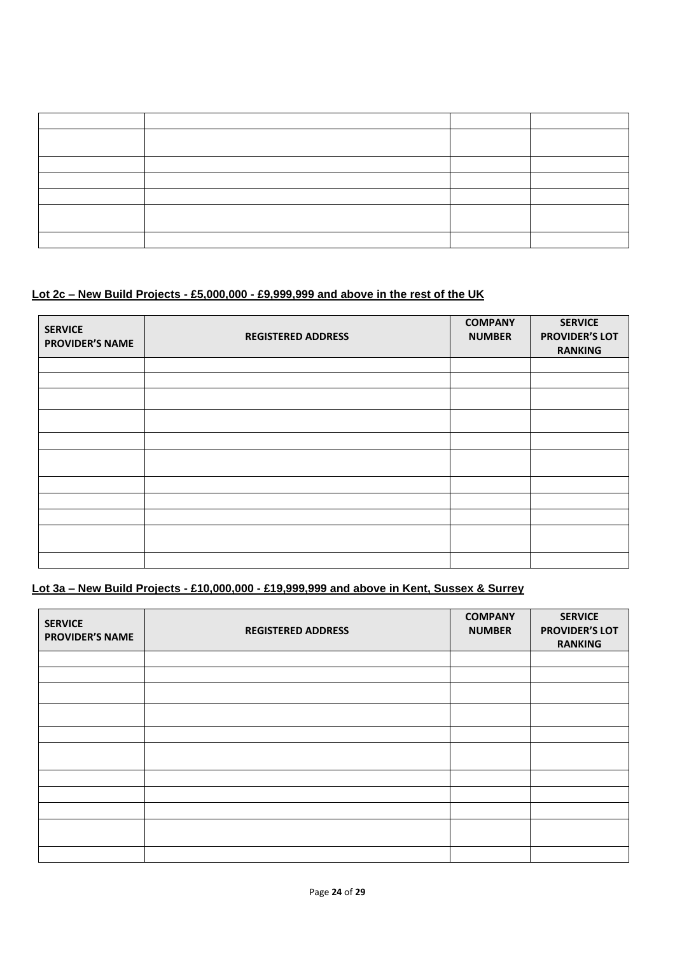# **Lot 2c – New Build Projects - £5,000,000 - £9,999,999 and above in the rest of the UK**

| <b>SERVICE</b><br><b>PROVIDER'S NAME</b> | <b>REGISTERED ADDRESS</b> | <b>COMPANY</b><br><b>NUMBER</b> | <b>SERVICE</b><br><b>PROVIDER'S LOT</b><br><b>RANKING</b> |
|------------------------------------------|---------------------------|---------------------------------|-----------------------------------------------------------|
|                                          |                           |                                 |                                                           |
|                                          |                           |                                 |                                                           |
|                                          |                           |                                 |                                                           |
|                                          |                           |                                 |                                                           |
|                                          |                           |                                 |                                                           |
|                                          |                           |                                 |                                                           |
|                                          |                           |                                 |                                                           |
|                                          |                           |                                 |                                                           |
|                                          |                           |                                 |                                                           |
|                                          |                           |                                 |                                                           |
|                                          |                           |                                 |                                                           |

# **Lot 3a – New Build Projects - £10,000,000 - £19,999,999 and above in Kent, Sussex & Surrey**

| <b>SERVICE</b><br><b>PROVIDER'S NAME</b> | <b>REGISTERED ADDRESS</b> | <b>COMPANY</b><br><b>NUMBER</b> | <b>SERVICE</b><br><b>PROVIDER'S LOT</b><br><b>RANKING</b> |
|------------------------------------------|---------------------------|---------------------------------|-----------------------------------------------------------|
|                                          |                           |                                 |                                                           |
|                                          |                           |                                 |                                                           |
|                                          |                           |                                 |                                                           |
|                                          |                           |                                 |                                                           |
|                                          |                           |                                 |                                                           |
|                                          |                           |                                 |                                                           |
|                                          |                           |                                 |                                                           |
|                                          |                           |                                 |                                                           |
|                                          |                           |                                 |                                                           |
|                                          |                           |                                 |                                                           |
|                                          |                           |                                 |                                                           |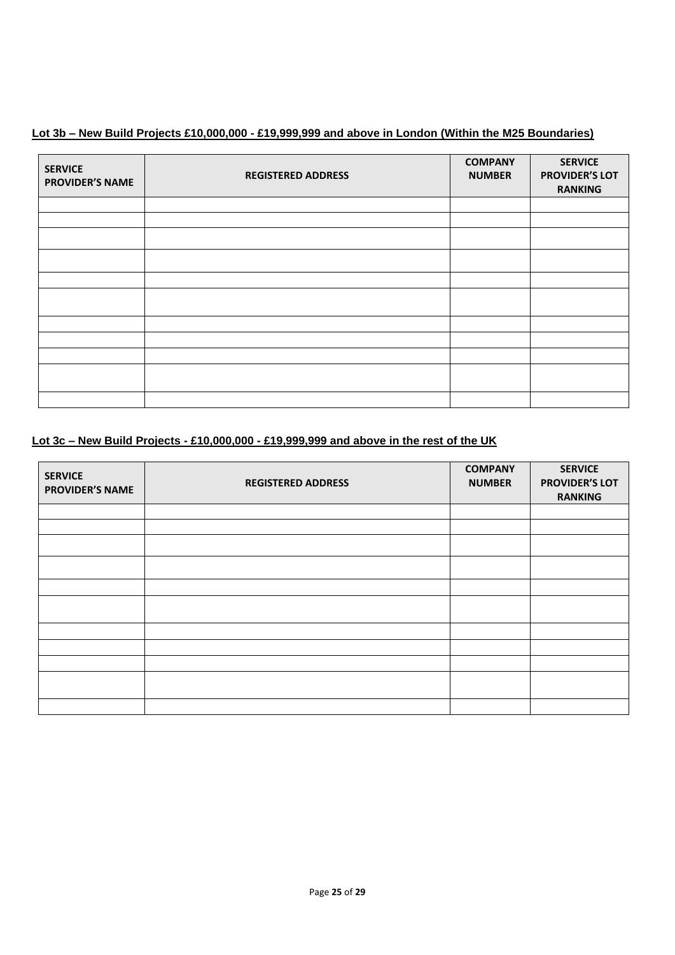# **Lot 3b – New Build Projects £10,000,000 - £19,999,999 and above in London (Within the M25 Boundaries)**

| <b>SERVICE</b><br><b>PROVIDER'S NAME</b> | <b>REGISTERED ADDRESS</b> | <b>COMPANY</b><br><b>NUMBER</b> | <b>SERVICE</b><br><b>PROVIDER'S LOT</b><br><b>RANKING</b> |
|------------------------------------------|---------------------------|---------------------------------|-----------------------------------------------------------|
|                                          |                           |                                 |                                                           |
|                                          |                           |                                 |                                                           |
|                                          |                           |                                 |                                                           |
|                                          |                           |                                 |                                                           |
|                                          |                           |                                 |                                                           |
|                                          |                           |                                 |                                                           |
|                                          |                           |                                 |                                                           |
|                                          |                           |                                 |                                                           |
|                                          |                           |                                 |                                                           |
|                                          |                           |                                 |                                                           |
|                                          |                           |                                 |                                                           |

# **Lot 3c – New Build Projects - £10,000,000 - £19,999,999 and above in the rest of the UK**

| <b>SERVICE</b><br><b>PROVIDER'S NAME</b> | <b>REGISTERED ADDRESS</b> | <b>COMPANY</b><br><b>NUMBER</b> | <b>SERVICE</b><br><b>PROVIDER'S LOT</b><br><b>RANKING</b> |
|------------------------------------------|---------------------------|---------------------------------|-----------------------------------------------------------|
|                                          |                           |                                 |                                                           |
|                                          |                           |                                 |                                                           |
|                                          |                           |                                 |                                                           |
|                                          |                           |                                 |                                                           |
|                                          |                           |                                 |                                                           |
|                                          |                           |                                 |                                                           |
|                                          |                           |                                 |                                                           |
|                                          |                           |                                 |                                                           |
|                                          |                           |                                 |                                                           |
|                                          |                           |                                 |                                                           |
|                                          |                           |                                 |                                                           |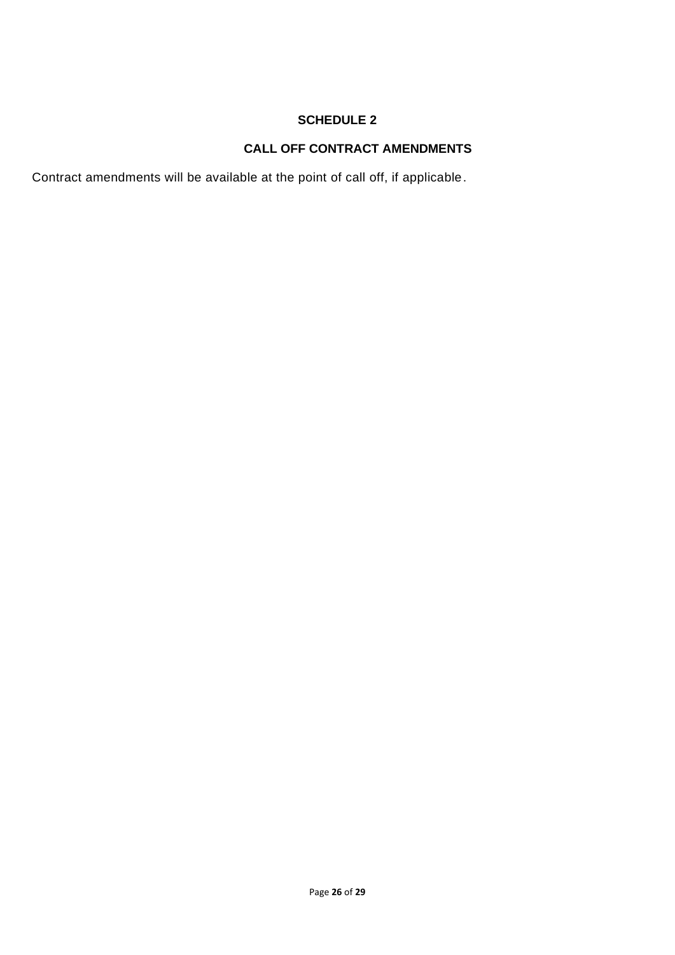# **CALL OFF CONTRACT AMENDMENTS**

Contract amendments will be available at the point of call off, if applicable.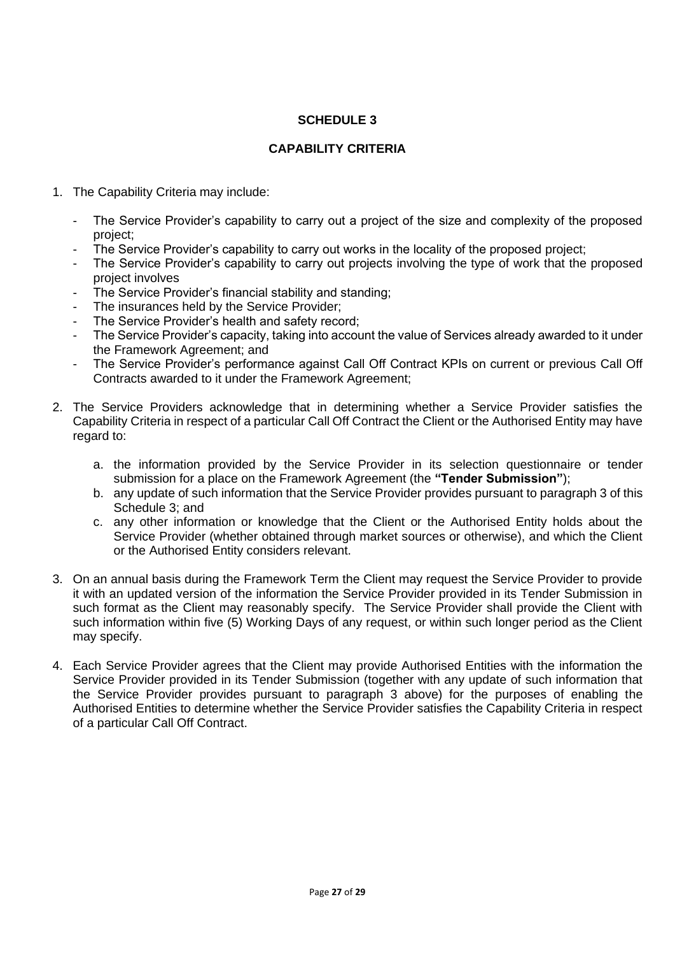## **CAPABILITY CRITERIA**

- 1. The Capability Criteria may include:
	- The Service Provider's capability to carry out a project of the size and complexity of the proposed project;
	- The Service Provider's capability to carry out works in the locality of the proposed project;
	- The Service Provider's capability to carry out projects involving the type of work that the proposed project involves
	- The Service Provider's financial stability and standing;
	- The insurances held by the Service Provider;
	- The Service Provider's health and safety record;
	- The Service Provider's capacity, taking into account the value of Services already awarded to it under the Framework Agreement; and
	- The Service Provider's performance against Call Off Contract KPIs on current or previous Call Off Contracts awarded to it under the Framework Agreement;
- 2. The Service Providers acknowledge that in determining whether a Service Provider satisfies the Capability Criteria in respect of a particular Call Off Contract the Client or the Authorised Entity may have regard to:
	- a. the information provided by the Service Provider in its selection questionnaire or tender submission for a place on the Framework Agreement (the **"Tender Submission"**);
	- b. any update of such information that the Service Provider provides pursuant to paragraph 3 of this Schedule 3; and
	- c. any other information or knowledge that the Client or the Authorised Entity holds about the Service Provider (whether obtained through market sources or otherwise), and which the Client or the Authorised Entity considers relevant.
- 3. On an annual basis during the Framework Term the Client may request the Service Provider to provide it with an updated version of the information the Service Provider provided in its Tender Submission in such format as the Client may reasonably specify. The Service Provider shall provide the Client with such information within five (5) Working Days of any request, or within such longer period as the Client may specify.
- 4. Each Service Provider agrees that the Client may provide Authorised Entities with the information the Service Provider provided in its Tender Submission (together with any update of such information that the Service Provider provides pursuant to paragraph 3 above) for the purposes of enabling the Authorised Entities to determine whether the Service Provider satisfies the Capability Criteria in respect of a particular Call Off Contract.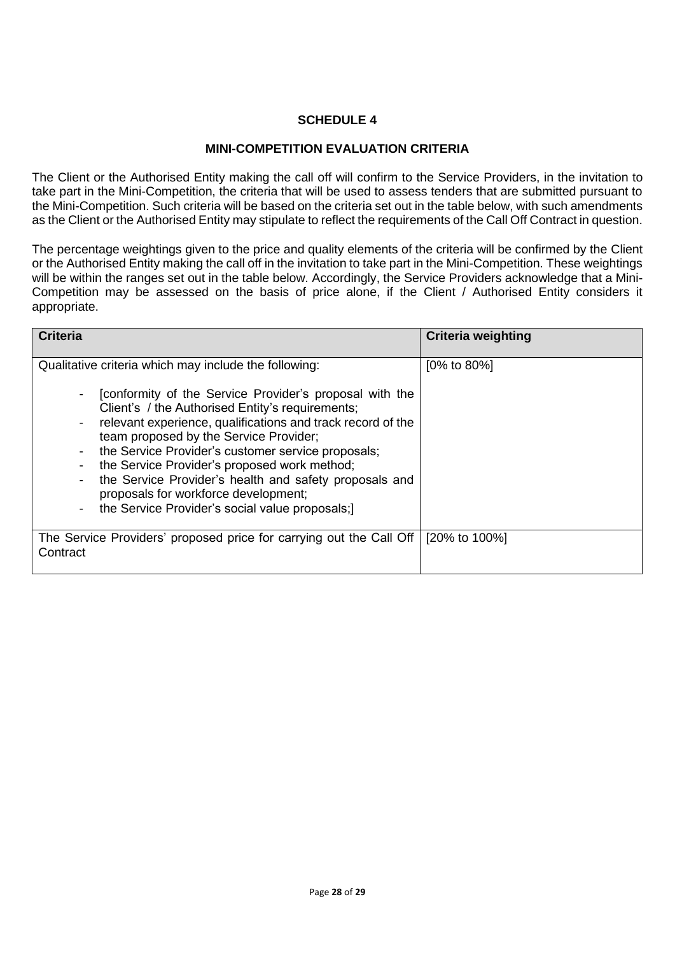## **MINI-COMPETITION EVALUATION CRITERIA**

The Client or the Authorised Entity making the call off will confirm to the Service Providers, in the invitation to take part in the Mini-Competition, the criteria that will be used to assess tenders that are submitted pursuant to the Mini-Competition. Such criteria will be based on the criteria set out in the table below, with such amendments as the Client or the Authorised Entity may stipulate to reflect the requirements of the Call Off Contract in question.

The percentage weightings given to the price and quality elements of the criteria will be confirmed by the Client or the Authorised Entity making the call off in the invitation to take part in the Mini-Competition. These weightings will be within the ranges set out in the table below. Accordingly, the Service Providers acknowledge that a Mini-Competition may be assessed on the basis of price alone, if the Client / Authorised Entity considers it appropriate.

| <b>Criteria</b>                                                                                                                                                                                                                                                                                                                                                                                                                                                                                                                                                      | <b>Criteria weighting</b> |
|----------------------------------------------------------------------------------------------------------------------------------------------------------------------------------------------------------------------------------------------------------------------------------------------------------------------------------------------------------------------------------------------------------------------------------------------------------------------------------------------------------------------------------------------------------------------|---------------------------|
| Qualitative criteria which may include the following:<br>[conformity of the Service Provider's proposal with the<br>Client's / the Authorised Entity's requirements;<br>relevant experience, qualifications and track record of the<br>team proposed by the Service Provider;<br>the Service Provider's customer service proposals;<br>the Service Provider's proposed work method;<br>the Service Provider's health and safety proposals and<br>proposals for workforce development;<br>the Service Provider's social value proposals;)<br>$\overline{\phantom{a}}$ | $[0\% \text{ to } 80\%]$  |
| The Service Providers' proposed price for carrying out the Call Off<br>Contract                                                                                                                                                                                                                                                                                                                                                                                                                                                                                      | [20% to 100%]             |